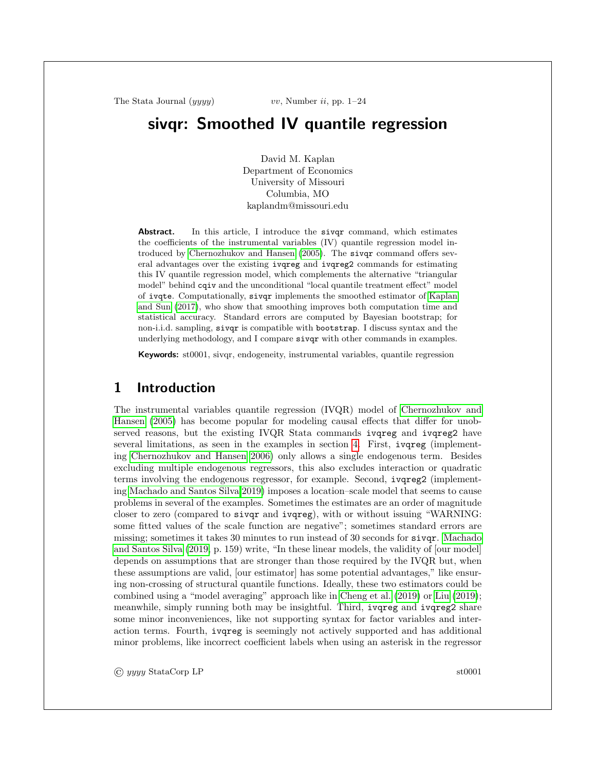# sivqr: Smoothed IV quantile regression

David M. Kaplan Department of Economics University of Missouri Columbia, MO kaplandm@missouri.edu

Abstract. In this article, I introduce the siver command, which estimates the coefficients of the instrumental variables (IV) quantile regression model introduced by [Chernozhukov and Hansen](#page-22-0) [\(2005\)](#page-22-0). The sivqr command offers several advantages over the existing ivqreg and ivqreg2 commands for estimating this IV quantile regression model, which complements the alternative "triangular model" behind cqiv and the unconditional "local quantile treatment effect" model of ivqte. Computationally, sivqr implements the smoothed estimator of [Kaplan](#page-23-0) [and Sun](#page-23-0) [\(2017\)](#page-23-0), who show that smoothing improves both computation time and statistical accuracy. Standard errors are computed by Bayesian bootstrap; for non-i.i.d. sampling, sivqr is compatible with bootstrap. I discuss syntax and the underlying methodology, and I compare sivqr with other commands in examples.

Keywords: st0001, sivqr, endogeneity, instrumental variables, quantile regression

## 1 Introduction

The instrumental variables quantile regression (IVQR) model of [Chernozhukov and](#page-22-0) [Hansen](#page-22-0) [\(2005\)](#page-22-0) has become popular for modeling causal effects that differ for unobserved reasons, but the existing IVQR Stata commands ivqreg and ivqreg2 have several limitations, as seen in the examples in section [4.](#page-6-0) First, ivqreg (implementing [Chernozhukov and Hansen 2006\)](#page-22-1) only allows a single endogenous term. Besides excluding multiple endogenous regressors, this also excludes interaction or quadratic terms involving the endogenous regressor, for example. Second, ivqreg2 (implementing [Machado and Santos Silva 2019\)](#page-23-1) imposes a location–scale model that seems to cause problems in several of the examples. Sometimes the estimates are an order of magnitude closer to zero (compared to sivqr and ivqreg), with or without issuing "WARNING: some fitted values of the scale function are negative"; sometimes standard errors are missing; sometimes it takes 30 minutes to run instead of 30 seconds for sivqr. [Machado](#page-23-1) [and Santos Silva](#page-23-1) [\(2019,](#page-23-1) p. 159) write, "In these linear models, the validity of [our model] depends on assumptions that are stronger than those required by the IVQR but, when these assumptions are valid, [our estimator] has some potential advantages," like ensuring non-crossing of structural quantile functions. Ideally, these two estimators could be combined using a "model averaging" approach like in [Cheng et al.](#page-21-0)  $(2019)$  or [Liu](#page-23-2)  $(2019)$ ; meanwhile, simply running both may be insightful. Third, ivqreg and ivqreg2 share some minor inconveniences, like not supporting syntax for factor variables and interaction terms. Fourth, ivqreg is seemingly not actively supported and has additional minor problems, like incorrect coefficient labels when using an asterisk in the regressor

© yyyy StataCorp LP st0001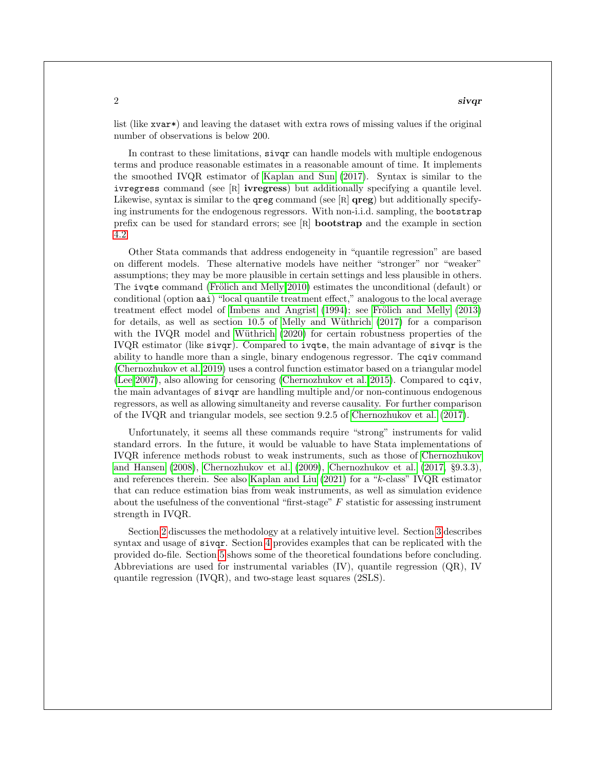$2<sup>2</sup>$ 

list (like xvar<sup>\*</sup>) and leaving the dataset with extra rows of missing values if the original number of observations is below 200.

In contrast to these limitations, sivqr can handle models with multiple endogenous terms and produce reasonable estimates in a reasonable amount of time. It implements the smoothed IVQR estimator of [Kaplan and Sun](#page-23-0) [\(2017\)](#page-23-0). Syntax is similar to the ivregress command (see [R] ivregress) but additionally specifying a quantile level. Likewise, syntax is similar to the **greg** command (see [R]  $\bf{qreg}$ ) but additionally specifying instruments for the endogenous regressors. With non-i.i.d. sampling, the bootstrap prefix can be used for standard errors; see [R] bootstrap and the example in section [4.2.](#page-8-0)

Other Stata commands that address endogeneity in "quantile regression" are based on different models. These alternative models have neither "stronger" nor "weaker" assumptions; they may be more plausible in certain settings and less plausible in others. The ivqte command (Frölich and Melly 2010) estimates the unconditional (default) or conditional (option aai) "local quantile treatment effect," analogous to the local average treatment effect model of [Imbens and Angrist](#page-22-3)  $(1994)$ ; see Frölich and Melly  $(2013)$ for details, as well as section  $10.5$  of Melly and Wüthrich  $(2017)$  for a comparison with the IVQR model and Wüthrich  $(2020)$  for certain robustness properties of the IVQR estimator (like sivqr). Compared to ivqte, the main advantage of sivqr is the ability to handle more than a single, binary endogenous regressor. The cqiv command [\(Chernozhukov et al. 2019\)](#page-21-1) uses a control function estimator based on a triangular model [\(Lee 2007\)](#page-23-5), also allowing for censoring [\(Chernozhukov et al. 2015\)](#page-21-2). Compared to cqiv, the main advantages of sivqr are handling multiple and/or non-continuous endogenous regressors, as well as allowing simultaneity and reverse causality. For further comparison of the IVQR and triangular models, see section 9.2.5 of [Chernozhukov et al.](#page-22-5) [\(2017\)](#page-22-5).

Unfortunately, it seems all these commands require "strong" instruments for valid standard errors. In the future, it would be valuable to have Stata implementations of IVQR inference methods robust to weak instruments, such as those of [Chernozhukov](#page-22-6) [and Hansen](#page-22-6) [\(2008\)](#page-22-6), [Chernozhukov et al.](#page-22-7) [\(2009\)](#page-22-7), [Chernozhukov et al.](#page-22-5) [\(2017,](#page-22-5) §9.3.3), and references therein. See also [Kaplan and Liu](#page-22-8) [\(2021\)](#page-22-8) for a "k-class" IVQR estimator that can reduce estimation bias from weak instruments, as well as simulation evidence about the usefulness of the conventional "first-stage"  $F$  statistic for assessing instrument strength in IVQR.

Section [2](#page-2-0) discusses the methodology at a relatively intuitive level. Section [3](#page-4-0) describes syntax and usage of sivqr. Section [4](#page-6-0) provides examples that can be replicated with the provided do-file. Section [5](#page-13-0) shows some of the theoretical foundations before concluding. Abbreviations are used for instrumental variables  $(IV)$ , quantile regression  $(QR)$ , IV quantile regression (IVQR), and two-stage least squares (2SLS).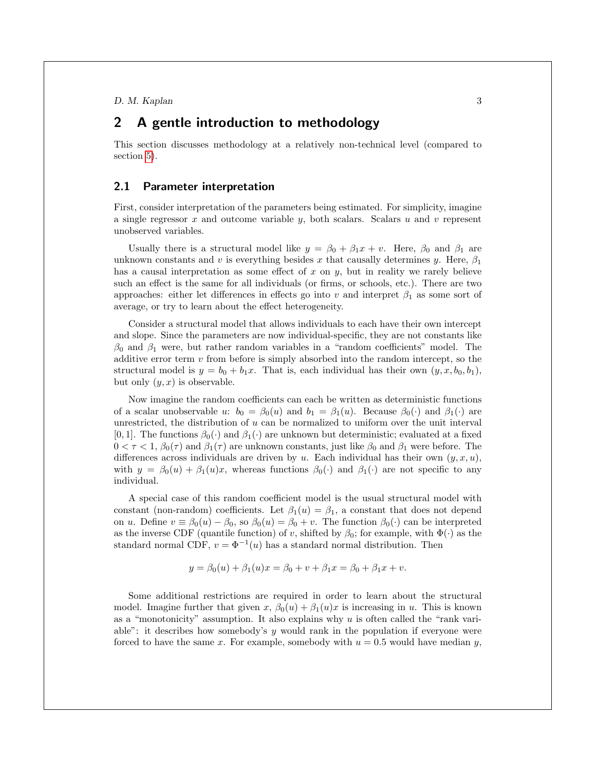## <span id="page-2-0"></span>2 A gentle introduction to methodology

This section discusses methodology at a relatively non-technical level (compared to section [5\)](#page-13-0).

## <span id="page-2-1"></span>2.1 Parameter interpretation

First, consider interpretation of the parameters being estimated. For simplicity, imagine a single regressor  $x$  and outcome variable  $y$ , both scalars. Scalars  $u$  and  $v$  represent unobserved variables.

Usually there is a structural model like  $y = \beta_0 + \beta_1 x + v$ . Here,  $\beta_0$  and  $\beta_1$  are unknown constants and v is everything besides x that causally determines y. Here,  $\beta_1$ has a causal interpretation as some effect of  $x$  on  $y$ , but in reality we rarely believe such an effect is the same for all individuals (or firms, or schools, etc.). There are two approaches: either let differences in effects go into v and interpret  $\beta_1$  as some sort of average, or try to learn about the effect heterogeneity.

Consider a structural model that allows individuals to each have their own intercept and slope. Since the parameters are now individual-specific, they are not constants like  $\beta_0$  and  $\beta_1$  were, but rather random variables in a "random coefficients" model. The additive error term  $v$  from before is simply absorbed into the random intercept, so the structural model is  $y = b_0 + b_1x$ . That is, each individual has their own  $(y, x, b_0, b_1)$ , but only  $(y, x)$  is observable.

Now imagine the random coefficients can each be written as deterministic functions of a scalar unobservable u:  $b_0 = \beta_0(u)$  and  $b_1 = \beta_1(u)$ . Because  $\beta_0(\cdot)$  and  $\beta_1(\cdot)$  are unrestricted, the distribution of  $u$  can be normalized to uniform over the unit interval [0, 1]. The functions  $\beta_0(\cdot)$  and  $\beta_1(\cdot)$  are unknown but deterministic; evaluated at a fixed  $0 < \tau < 1$ ,  $\beta_0(\tau)$  and  $\beta_1(\tau)$  are unknown constants, just like  $\beta_0$  and  $\beta_1$  were before. The differences across individuals are driven by u. Each individual has their own  $(y, x, u)$ , with  $y = \beta_0(u) + \beta_1(u)x$ , whereas functions  $\beta_0(\cdot)$  and  $\beta_1(\cdot)$  are not specific to any individual.

A special case of this random coefficient model is the usual structural model with constant (non-random) coefficients. Let  $\beta_1(u) = \beta_1$ , a constant that does not depend on u. Define  $v \equiv \beta_0(u) - \beta_0$ , so  $\beta_0(u) = \beta_0 + v$ . The function  $\beta_0(\cdot)$  can be interpreted as the inverse CDF (quantile function) of v, shifted by  $\beta_0$ ; for example, with  $\Phi(\cdot)$  as the standard normal CDF,  $v = \Phi^{-1}(u)$  has a standard normal distribution. Then

$$
y = \beta_0(u) + \beta_1(u)x = \beta_0 + v + \beta_1 x = \beta_0 + \beta_1 x + v.
$$

Some additional restrictions are required in order to learn about the structural model. Imagine further that given x,  $\beta_0(u) + \beta_1(u)x$  is increasing in u. This is known as a "monotonicity" assumption. It also explains why  $u$  is often called the "rank variable": it describes how somebody's  $y$  would rank in the population if everyone were forced to have the same x. For example, somebody with  $u = 0.5$  would have median y,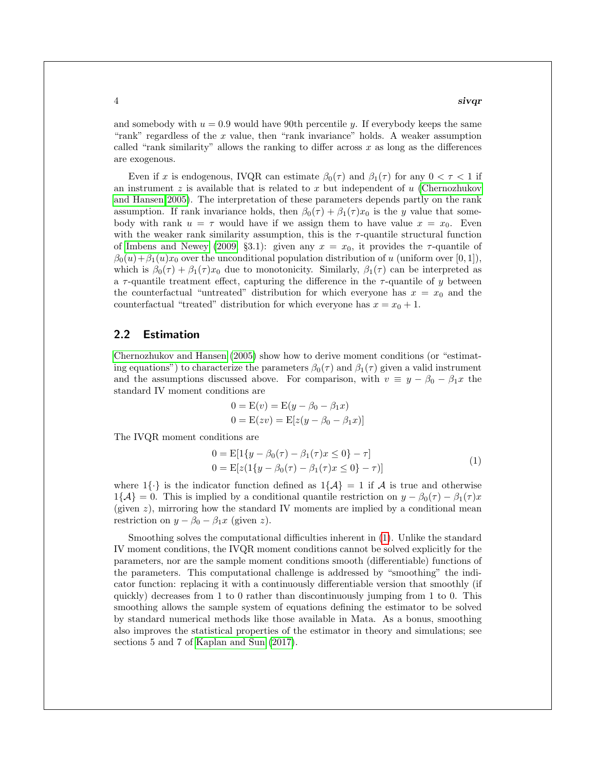#### $4 \overline{3}$

and somebody with  $u = 0.9$  would have 90th percentile y. If everybody keeps the same "rank" regardless of the x value, then "rank invariance" holds. A weaker assumption called "rank similarity" allows the ranking to differ across  $x$  as long as the differences are exogenous.

Even if x is endogenous, IVQR can estimate  $\beta_0(\tau)$  and  $\beta_1(\tau)$  for any  $0 < \tau < 1$  if an instrument  $z$  is available that is related to  $x$  but independent of  $u$  [\(Chernozhukov](#page-22-0) [and Hansen 2005\)](#page-22-0). The interpretation of these parameters depends partly on the rank assumption. If rank invariance holds, then  $\beta_0(\tau) + \beta_1(\tau)x_0$  is the y value that somebody with rank  $u = \tau$  would have if we assign them to have value  $x = x_0$ . Even with the weaker rank similarity assumption, this is the  $\tau$ -quantile structural function of [Imbens and Newey](#page-22-9) [\(2009,](#page-22-9) §3.1): given any  $x = x_0$ , it provides the  $\tau$ -quantile of  $\beta_0(u) + \beta_1(u)x_0$  over the unconditional population distribution of u (uniform over [0, 1]), which is  $\beta_0(\tau) + \beta_1(\tau)x_0$  due to monotonicity. Similarly,  $\beta_1(\tau)$  can be interpreted as a  $\tau$ -quantile treatment effect, capturing the difference in the  $\tau$ -quantile of y between the counterfactual "untreated" distribution for which everyone has  $x = x_0$  and the counterfactual "treated" distribution for which everyone has  $x = x_0 + 1$ .

## 2.2 Estimation

[Chernozhukov and Hansen](#page-22-0) [\(2005\)](#page-22-0) show how to derive moment conditions (or "estimating equations") to characterize the parameters  $\beta_0(\tau)$  and  $\beta_1(\tau)$  given a valid instrument and the assumptions discussed above. For comparison, with  $v \equiv y - \beta_0 - \beta_1 x$  the standard IV moment conditions are

<span id="page-3-0"></span>
$$
0 = E(v) = E(y - \beta_0 - \beta_1 x)
$$
  

$$
0 = E(zv) = E[z(y - \beta_0 - \beta_1 x)]
$$

The IVQR moment conditions are

$$
0 = E[1{y - \beta_0(\tau) - \beta_1(\tau)x \le 0} - \tau]
$$
  
\n
$$
0 = E[z(1{y - \beta_0(\tau) - \beta_1(\tau)x \le 0} - \tau)]
$$
\n(1)

where  $1\{\cdot\}$  is the indicator function defined as  $1\{\mathcal{A}\}=1$  if  $\mathcal{A}$  is true and otherwise  $1\{\mathcal{A}\}=0$ . This is implied by a conditional quantile restriction on  $y-\beta_0(\tau)-\beta_1(\tau)x$ (given  $z$ ), mirroring how the standard IV moments are implied by a conditional mean restriction on  $y - \beta_0 - \beta_1 x$  (given z).

Smoothing solves the computational difficulties inherent in [\(1\)](#page-3-0). Unlike the standard IV moment conditions, the IVQR moment conditions cannot be solved explicitly for the parameters, nor are the sample moment conditions smooth (differentiable) functions of the parameters. This computational challenge is addressed by "smoothing" the indicator function: replacing it with a continuously differentiable version that smoothly (if quickly) decreases from 1 to 0 rather than discontinuously jumping from 1 to 0. This smoothing allows the sample system of equations defining the estimator to be solved by standard numerical methods like those available in Mata. As a bonus, smoothing also improves the statistical properties of the estimator in theory and simulations; see sections 5 and 7 of [Kaplan and Sun](#page-23-0) [\(2017\)](#page-23-0).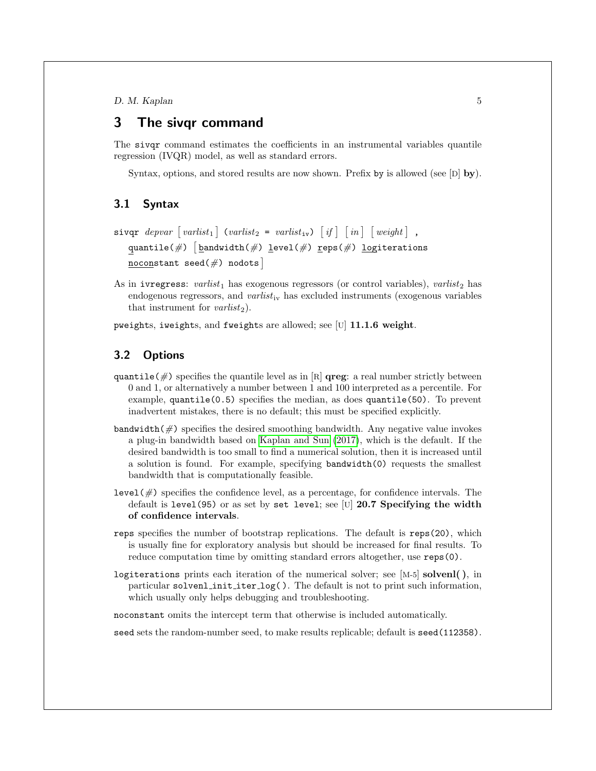## <span id="page-4-0"></span>3 The sivqr command

The sivqr command estimates the coefficients in an instrumental variables quantile regression (IVQR) model, as well as standard errors.

Syntax, options, and stored results are now shown. Prefix by is allowed (see  $[D]$  by).

## 3.1 Syntax

```
\texttt{sivqr}\ \textit{depvar}\ [\textit{varlist}_1\ ]\ \textit{(varlist}_2 = \textit{varlist}_{\texttt{iv}})\ \textit{if}\ ]\ \textit{[}\ \textit{in}\ ]\ \textit{[weight]}\ \text{,}\texttt{quantile}(\#) \big[\texttt{bandwidth}(\#) \texttt{level}(\#) \texttt{reps}(\#) \texttt{logiterations}noconstant seed(\#) nodots
```
As in ivregress: varlist<sub>1</sub> has exogenous regressors (or control variables), varlist<sub>2</sub> has endogenous regressors, and  $varist_{iv}$  has excluded instruments (exogenous variables that instrument for  $varlist_2$ ).

pweights, iweights, and fweights are allowed; see [U] 11.1.6 weight.

## 3.2 Options

- quantile( $\#$ ) specifies the quantile level as in [R] **qreg**: a real number strictly between 0 and 1, or alternatively a number between 1 and 100 interpreted as a percentile. For example, quantile(0.5) specifies the median, as does quantile(50). To prevent inadvertent mistakes, there is no default; this must be specified explicitly.
- bandwidth $(\#)$  specifies the desired smoothing bandwidth. Any negative value invokes a plug-in bandwidth based on [Kaplan and Sun](#page-23-0) [\(2017\)](#page-23-0), which is the default. If the desired bandwidth is too small to find a numerical solution, then it is increased until a solution is found. For example, specifying bandwidth(0) requests the smallest bandwidth that is computationally feasible.
- level( $\#$ ) specifies the confidence level, as a percentage, for confidence intervals. The default is level(95) or as set by set level; see [U] 20.7 Specifying the width of confidence intervals.
- reps specifies the number of bootstrap replications. The default is reps(20), which is usually fine for exploratory analysis but should be increased for final results. To reduce computation time by omitting standard errors altogether, use **reps(0)**.
- logiterations prints each iteration of the numerical solver; see [M-5] solvenl( ), in particular solvenl init iter log( ). The default is not to print such information, which usually only helps debugging and troubleshooting.

noconstant omits the intercept term that otherwise is included automatically.

seed sets the random-number seed, to make results replicable; default is seed(112358).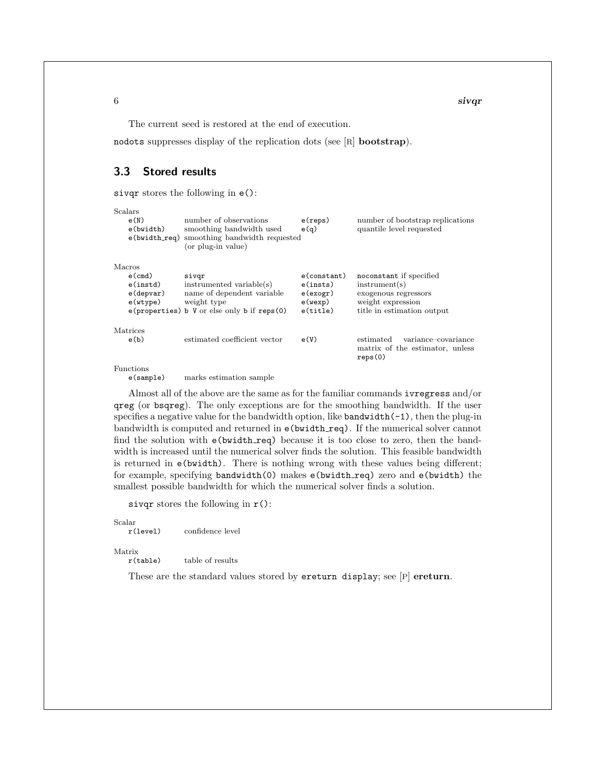The current seed is restored at the end of execution.

nodots suppresses display of the replication dots (see [R] bootstrap).

## 3.3 Stored results

sivqr stores the following in e():

| Scalars     |                                                   |                |                                  |
|-------------|---------------------------------------------------|----------------|----------------------------------|
| e(N)        | number of observations                            | e(reps)        | number of bootstrap replications |
| e(bwidth)   | smoothing bandwidth used                          | e(q)           | quantile level requested         |
|             | e (bwidth_req) smoothing bandwidth requested      |                |                                  |
|             | (or plug-in value)                                |                |                                  |
| Macros      |                                                   |                |                                  |
| $e$ (cmd)   | sivqr                                             | $e$ (constant) | noconstant if specified          |
| $e$ (instd) | instrumented variable(s)                          | e(insts)       | instrument(s)                    |
| e(depvar)   | name of dependent variable                        | e(exogr)       | exogenous regressors             |
| e(wtype)    | weight type                                       | e(wexp)        | weight expression                |
|             | $e$ (properties) b V or else only b if reps $(0)$ | $e$ (title)    | title in estimation output       |
| Matrices    |                                                   |                |                                  |
| e(b)        | estimated coefficient vector                      | e(V)           | estimated<br>variance-covariance |
|             |                                                   |                | matrix of the estimator, unless  |
|             |                                                   |                | reps(0)                          |
| Functions   |                                                   |                |                                  |

e(sample) marks estimation sample

Almost all of the above are the same as for the familiar commands ivregress and/or qreg (or bsqreg). The only exceptions are for the smoothing bandwidth. If the user specifies a negative value for the bandwidth option, like  $bandwidth(-1)$ , then the plug-in bandwidth is computed and returned in e(bwidth req). If the numerical solver cannot find the solution with e(bwidth req) because it is too close to zero, then the bandwidth is increased until the numerical solver finds the solution. This feasible bandwidth is returned in e(bwidth). There is nothing wrong with these values being different; for example, specifying bandwidth(0) makes e(bwidth req) zero and e(bwidth) the smallest possible bandwidth for which the numerical solver finds a solution.

sivqr stores the following in  $r()$ :

Scalar

r(level) confidence level

Matrix  $r$ (table)

table of results

These are the standard values stored by ereturn display; see [P] ereturn.

 $\sim$  siv $\rm q$ r $\sim$  siv $\rm q$ r $\sim$  siv $\rm q$ r $\sim$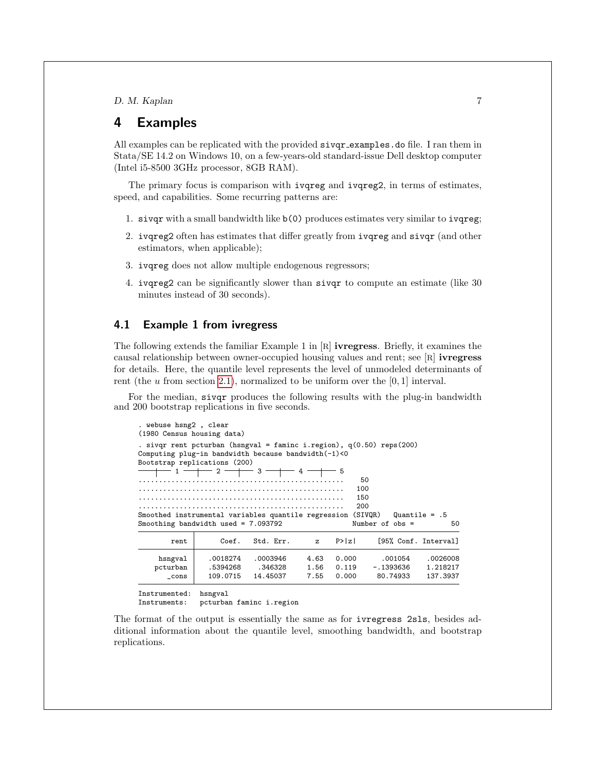## <span id="page-6-0"></span>4 Examples

All examples can be replicated with the provided sivqr examples.do file. I ran them in Stata/SE 14.2 on Windows 10, on a few-years-old standard-issue Dell desktop computer (Intel i5-8500 3GHz processor, 8GB RAM).

The primary focus is comparison with ivqreg and ivqreg2, in terms of estimates, speed, and capabilities. Some recurring patterns are:

- 1. sivqr with a small bandwidth like b(0) produces estimates very similar to ivqreg;
- 2. ivqreg2 often has estimates that differ greatly from ivqreg and sivqr (and other estimators, when applicable);
- 3. ivqreg does not allow multiple endogenous regressors;
- 4. ivqreg2 can be significantly slower than sivqr to compute an estimate (like 30 minutes instead of 30 seconds).

## <span id="page-6-1"></span>4.1 Example 1 from ivregress

The following extends the familiar Example 1 in [R] ivregress. Briefly, it examines the causal relationship between owner-occupied housing values and rent; see [R] ivregress for details. Here, the quantile level represents the level of unmodeled determinants of rent (the  $u$  from section [2.1\)](#page-2-1), normalized to be uniform over the  $[0, 1]$  interval.

For the median, sivqr produces the following results with the plug-in bandwidth and 200 bootstrap replications in five seconds.

| . webuse hsng2, clear<br>(1980 Census housing data) |                                 |                                                                       |                         |                                                                                                                                                                                           |                                                                                                                                                           |
|-----------------------------------------------------|---------------------------------|-----------------------------------------------------------------------|-------------------------|-------------------------------------------------------------------------------------------------------------------------------------------------------------------------------------------|-----------------------------------------------------------------------------------------------------------------------------------------------------------|
|                                                     |                                 |                                                                       |                         |                                                                                                                                                                                           | Quantile = $.5$<br>50                                                                                                                                     |
| Coef.                                               | Std. Err.                       | z                                                                     | P >  z                  |                                                                                                                                                                                           |                                                                                                                                                           |
| .0018274<br>.5394268<br>109.0715                    | .0003946<br>.346328<br>14.45037 | 4.63<br>1.56<br>7.55                                                  | 0.000<br>0.119<br>0.000 | .001054<br>$-.1393636$<br>80.74933                                                                                                                                                        | .0026008<br>1.218217<br>137.3937                                                                                                                          |
|                                                     |                                 | Bootstrap replications (200)<br>Smoothing bandwidth used = $7.093792$ |                         | Computing plug-in bandwidth because bandwidth $(-1)$ <0<br>$+\, -\,$ 1 $-\,+\, -\,$ 2 $-\,+\, -\,$ 3 $-\,+\, -\,$ 4 $-\,+\, -\,$ 5<br>Smoothed instrumental variables quantile regression | . sivqr rent pcturban (hsngval = faminc i.region), $q(0.50)$ reps(200)<br>50<br>100<br>150<br>200<br>(SIVQR)<br>Number of $obs =$<br>[95% Conf. Interval] |

Instrumented: hsngval

pcturban faminc i.region

The format of the output is essentially the same as for ivregress 2sls, besides additional information about the quantile level, smoothing bandwidth, and bootstrap replications.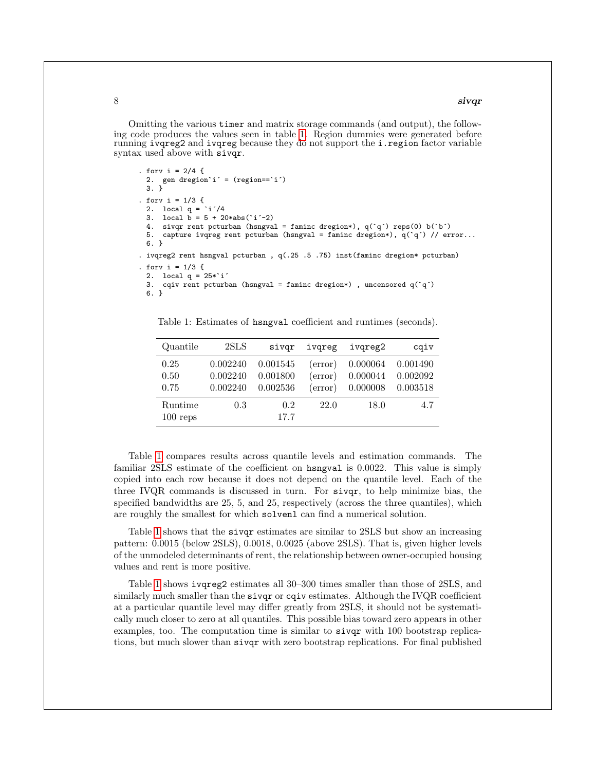#### $8$  siv $q$ r

Omitting the various timer and matrix storage commands (and output), the following code produces the values seen in table [1.](#page-6-1) Region dummies were generated before running ivqreg2 and ivqreg because they do not support the i.region factor variable syntax used above with sivqr.

```
. forv i = 2/4 {
  2. gen dregion`i´ = (region==`i´)
  3. }
. forv i = 1/3 {
 2. local q = \iota i'/43. local \mathbf{b} = 5 + 20* \mathbf{abs}(\iota \mathbf{i}'-2)4. sivqr rent pcturban (hsngval = faminc dregion*), q({q}) reps(0) b('b')
 5. capture ivqreg rent pcturban (hsngval = faminc dregion*), q({\iota q}) // error...
 6. }
. ivqreg2 rent hsngval pcturban , q(.25 .5 .75) inst(faminc dregion* pcturban)
. forv i = 1/3 {
 2. local q = 25 * i'3. cqiv rent pcturban (hsngval = faminc dregion*) , uncensored q(`q´)
 6. }
```
Table 1: Estimates of hsngval coefficient and runtimes (seconds).

| Quantile              | 2SLS                             | sivgr                            | ivgreg                        | ivgreg2                          | cgiv                             |
|-----------------------|----------------------------------|----------------------------------|-------------------------------|----------------------------------|----------------------------------|
| 0.25<br>0.50<br>0.75  | 0.002240<br>0.002240<br>0.002240 | 0.001545<br>0.001800<br>0.002536 | (error)<br>(error)<br>(error) | 0.000064<br>0.000044<br>0.000008 | 0.001490<br>0.002092<br>0.003518 |
| Runtime<br>$100$ reps | 0.3                              | 0.2<br>17.7                      | 22.0                          | 18.0                             | 4.7                              |

Table [1](#page-6-1) compares results across quantile levels and estimation commands. The familiar 2SLS estimate of the coefficient on hsngval is 0.0022. This value is simply copied into each row because it does not depend on the quantile level. Each of the three IVQR commands is discussed in turn. For sivqr, to help minimize bias, the specified bandwidths are 25, 5, and 25, respectively (across the three quantiles), which are roughly the smallest for which solvenl can find a numerical solution.

Table [1](#page-6-1) shows that the sivqr estimates are similar to 2SLS but show an increasing pattern: 0.0015 (below 2SLS), 0.0018, 0.0025 (above 2SLS). That is, given higher levels of the unmodeled determinants of rent, the relationship between owner-occupied housing values and rent is more positive.

Table [1](#page-6-1) shows ivqreg2 estimates all 30–300 times smaller than those of 2SLS, and similarly much smaller than the **siver** or **cent** estimates. Although the IVQR coefficient at a particular quantile level may differ greatly from 2SLS, it should not be systematically much closer to zero at all quantiles. This possible bias toward zero appears in other examples, too. The computation time is similar to sivqr with 100 bootstrap replications, but much slower than sivqr with zero bootstrap replications. For final published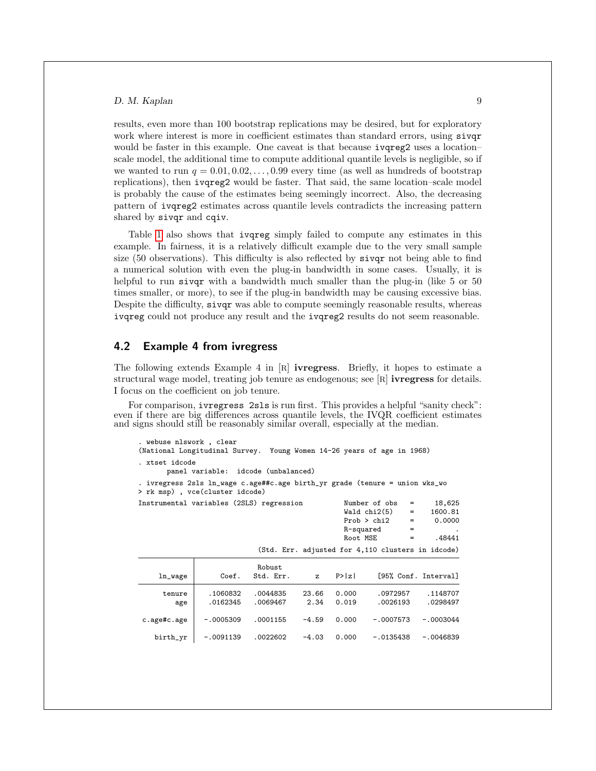results, even more than 100 bootstrap replications may be desired, but for exploratory work where interest is more in coefficient estimates than standard errors, using siver would be faster in this example. One caveat is that because ivqreg2 uses a location– scale model, the additional time to compute additional quantile levels is negligible, so if we wanted to run  $q = 0.01, 0.02, \ldots, 0.99$  every time (as well as hundreds of bootstrap replications), then ivqreg2 would be faster. That said, the same location–scale model is probably the cause of the estimates being seemingly incorrect. Also, the decreasing pattern of ivqreg2 estimates across quantile levels contradicts the increasing pattern shared by sivqr and cqiv.

Table [1](#page-6-1) also shows that ivqreg simply failed to compute any estimates in this example. In fairness, it is a relatively difficult example due to the very small sample size (50 observations). This difficulty is also reflected by sivqr not being able to find a numerical solution with even the plug-in bandwidth in some cases. Usually, it is helpful to run sivqr with a bandwidth much smaller than the plug-in (like 5 or 50) times smaller, or more), to see if the plug-in bandwidth may be causing excessive bias. Despite the difficulty, sivqr was able to compute seemingly reasonable results, whereas ivqreg could not produce any result and the ivqreg2 results do not seem reasonable.

## <span id="page-8-0"></span>4.2 Example 4 from ivregress

The following extends Example 4 in [R] ivregress. Briefly, it hopes to estimate a structural wage model, treating job tenure as endogenous; see [R] ivregress for details. I focus on the coefficient on job tenure.

For comparison, ivregress 2sls is run first. This provides a helpful "sanity check": even if there are big differences across quantile levels, the IVQR coefficient estimates and signs should still be reasonably similar overall, especially at the median.

| . webuse nlswork, clear                                                                                        |  |                   |         |
|----------------------------------------------------------------------------------------------------------------|--|-------------------|---------|
| (National Longitudinal Survey. Young Women 14-26 years of age in 1968)                                         |  |                   |         |
| . xtset idcode<br>panel variable: idcode (unbalanced)                                                          |  |                   |         |
| . ivregress 2sls ln_wage c.age##c.age birth_yr grade (tenure = union wks_wo<br>> rk msp) , vce(cluster idcode) |  |                   |         |
| Instrumental variables (2SLS) regression                                                                       |  | Number of $obs =$ | 18,625  |
|                                                                                                                |  | $Wald chi2(5) =$  | 1600.81 |

|               |                      |                      |               | R-squared<br>Root MSE | Prob > chi2          | 0.0000<br>$=$<br>$=$<br>.48441<br>$=$             |
|---------------|----------------------|----------------------|---------------|-----------------------|----------------------|---------------------------------------------------|
|               |                      |                      |               |                       |                      | (Std. Err. adjusted for 4,110 clusters in idcode) |
| ln_wage       | Coef.                | Robust<br>Std. Err.  | $\mathbf{z}$  | P >  z                |                      | [95% Conf. Interval]                              |
| tenure<br>age | .1060832<br>.0162345 | .0044835<br>.0069467 | 23.66<br>2.34 | 0.000<br>0.019        | .0972957<br>.0026193 | .1148707<br>.0298497                              |
| c.age#c.age   | $-.0005309$          | .0001155             | $-4.59$       | 0.000                 | $-.0007573$          | $-.0003044$                                       |
| birth_yr      | $-.0091139$          | .0022602             | $-4.03$       | 0.000                 | $-.0135438$          | $-.0046839$                                       |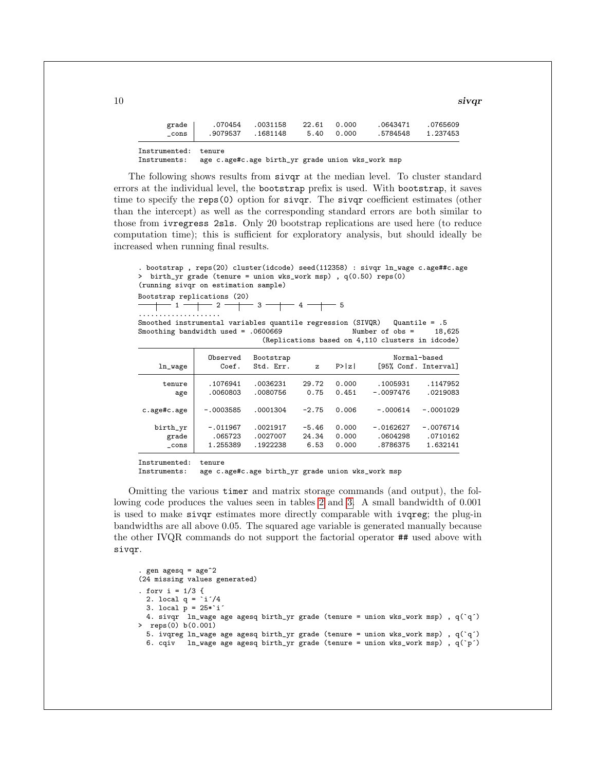| grade ' | 070454   | .0031158  | 22.61 | 0.000 | 0643471  | .0765609 |
|---------|----------|-----------|-------|-------|----------|----------|
| cons    | .9079537 | . 1681148 | 5.40  | 0.000 | .5784548 | 1.237453 |
|         |          |           |       |       |          |          |

Instrumented: tenure<br>Instruments: age c.

age c.age#c.age birth\_yr grade union wks\_work msp

The following shows results from sivqr at the median level. To cluster standard errors at the individual level, the bootstrap prefix is used. With bootstrap, it saves time to specify the reps(0) option for sivqr. The sivqr coefficient estimates (other than the intercept) as well as the corresponding standard errors are both similar to those from ivregress 2sls. Only 20 bootstrap replications are used here (to reduce computation time); this is sufficient for exploratory analysis, but should ideally be increased when running final results.

```
. bootstrap , reps(20) cluster(idcode) seed(112358) : sivqr ln_wage c.age##c.age
> birth_yr grade (tenure = union wks_work msp) , q(0.50) reps(0)
(running sivqr on estimation sample)
Bootstrap replications (20)<br>
\begin{array}{c|c} \hline \text{3} & 1 \\ \hline \end{array}
```
 $-$  3  $-$  4  $-$  5 ....................

Smoothed instrumental variables quantile regression (SIVQR) Quantile = .5 Smoothing bandwidth used =  $.0600669$  Number of obs = 18,625 (Replications based on 4,110 clusters in idcode)

| ln_wage     | Observed<br>Coef. | Bootstrap<br>Std. Err. | $\mathbf{z}$ | P >  z |             | Normal-based<br>[95% Conf. Interval] |
|-------------|-------------------|------------------------|--------------|--------|-------------|--------------------------------------|
| tenure      | .1076941          | .0036231               | 29.72        | 0.000  | .1005931    | .1147952                             |
| age         | .0060803          | .0080756               | 0.75         | 0.451  | $-.0097476$ | .0219083                             |
| c.age#c.age | $-.0003585$       | .0001304               | $-2.75$      | 0.006  | $-.000614$  | $-.0001029$                          |
| birth_yr    | $-.011967$        | .0021917               | $-5.46$      | 0.000  | $-.0162627$ | $-.0076714$                          |
| grade       | .065723           | .0027007               | 24.34        | 0.000  | .0604298    | .0710162                             |
| cons        | 1.255389          | .1922238               | 6.53         | 0.000  | .8786375    | 1.632141                             |

Instrumented: tenure

Instruments: age c.age#c.age birth\_yr grade union wks\_work msp

Omitting the various timer and matrix storage commands (and output), the following code produces the values seen in tables [2](#page-8-0) and [3.](#page-8-0) A small bandwidth of 0.001 is used to make sivqr estimates more directly comparable with ivqreg; the plug-in bandwidths are all above 0.05. The squared age variable is generated manually because the other IVQR commands do not support the factorial operator ## used above with sivqr.

```
gen agesq = age^2(24 missing values generated)
. forv i = 1/3 {
  2. local q = \iota i'/43. local \overrightarrow{p} = 25 \times 1<sup>2</sup>
  4. sivqr ln_wage age agesq birth_yr grade (tenure = union wks_work msp) , q(`q´)
> reps(0) b(0.001)
  5. ivqreg ln_wage age agesq birth_yr grade (tenure = union wks_work msp), q('q')<br>6. cqiv ln_wage age agesq birth_yr grade (tenure = union wks_work msp), q('p')In_wage age agesq birth_yr grade (tenure = union wks_work msp), q(\bar{p})
```
 $10$  siv $q$ r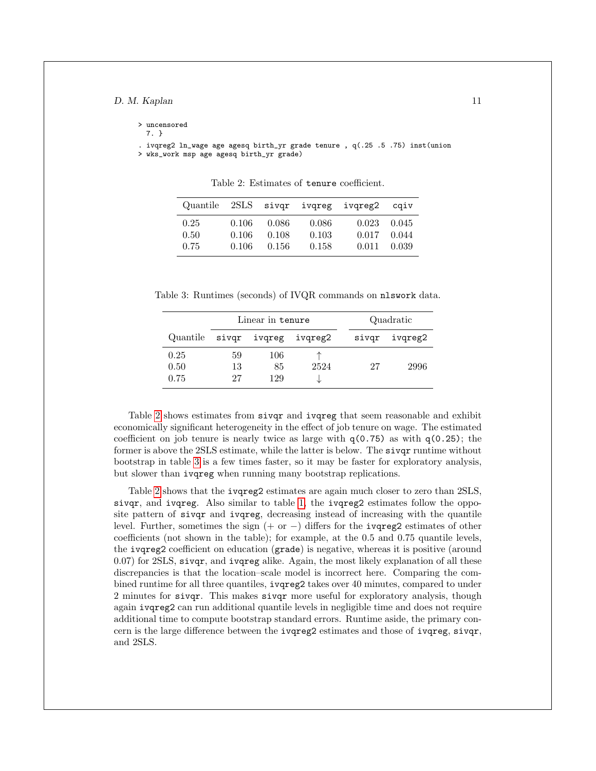> uncensored

7. }

. ivqreg2 ln\_wage age agesq birth\_yr grade tenure , q(.25 .5 .75) inst(union > wks\_work msp age agesq birth\_yr grade)

| Quantile |       |        |       | 2SLS sivqr ivqreg ivqreg2 | caiv  |
|----------|-------|--------|-------|---------------------------|-------|
| 0.25     | 0.106 | -0.086 | 0.086 | 0.023                     | 0.045 |
| 0.50     | 0.106 | 0.108  | 0.103 | 0.017                     | 0.044 |
| 0.75     | 0.106 | 0.156  | 0.158 | 0.011                     | 0.039 |

Table 2: Estimates of tenure coefficient.

Table 3: Runtimes (seconds) of IVQR commands on nlswork data.

|                      | Linear in tenure |                  |                               |       | Quadratic |
|----------------------|------------------|------------------|-------------------------------|-------|-----------|
|                      |                  |                  | Quantile sivgr ivgreg ivgreg2 | sivqr | ivgreg2   |
| 0.25<br>0.50<br>0.75 | 59<br>13<br>27   | 106<br>85<br>129 | 2524                          | 27    | 2996      |

Table [2](#page-8-0) shows estimates from sivqr and ivqreg that seem reasonable and exhibit economically significant heterogeneity in the effect of job tenure on wage. The estimated coefficient on job tenure is nearly twice as large with  $q(0.75)$  as with  $q(0.25)$ ; the former is above the 2SLS estimate, while the latter is below. The sivqr runtime without bootstrap in table [3](#page-8-0) is a few times faster, so it may be faster for exploratory analysis, but slower than ivqreg when running many bootstrap replications.

Table [2](#page-8-0) shows that the ivqreg2 estimates are again much closer to zero than 2SLS, sivqr, and ivqreg. Also similar to table [1,](#page-6-1) the ivqreg2 estimates follow the opposite pattern of sivqr and ivqreg, decreasing instead of increasing with the quantile level. Further, sometimes the sign  $(+ or -)$  differs for the ivqreg2 estimates of other coefficients (not shown in the table); for example, at the 0.5 and 0.75 quantile levels, the ivqreg2 coefficient on education (grade) is negative, whereas it is positive (around 0.07) for 2SLS, sivqr, and ivqreg alike. Again, the most likely explanation of all these discrepancies is that the location–scale model is incorrect here. Comparing the combined runtime for all three quantiles, ivqreg2 takes over 40 minutes, compared to under 2 minutes for sivqr. This makes sivqr more useful for exploratory analysis, though again ivqreg2 can run additional quantile levels in negligible time and does not require additional time to compute bootstrap standard errors. Runtime aside, the primary concern is the large difference between the ivqreg2 estimates and those of ivqreg, sivqr, and 2SLS.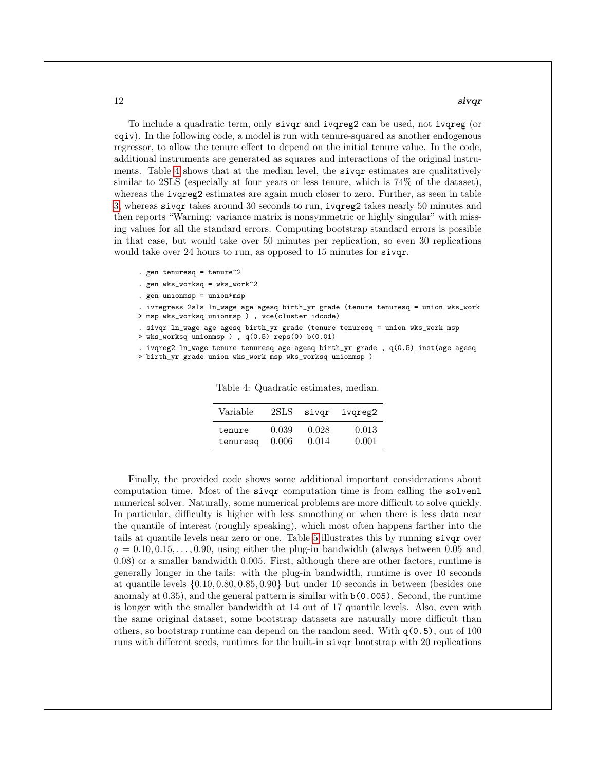$12$  sivqr

To include a quadratic term, only sivqr and ivqreg2 can be used, not ivqreg (or cqiv). In the following code, a model is run with tenure-squared as another endogenous regressor, to allow the tenure effect to depend on the initial tenure value. In the code, additional instruments are generated as squares and interactions of the original instruments. Table [4](#page-8-0) shows that at the median level, the sivqr estimates are qualitatively similar to 2SLS (especially at four years or less tenure, which is 74% of the dataset), whereas the ivqreg2 estimates are again much closer to zero. Further, as seen in table [3,](#page-8-0) whereas sivqr takes around 30 seconds to run, ivqreg2 takes nearly 50 minutes and then reports "Warning: variance matrix is nonsymmetric or highly singular" with missing values for all the standard errors. Computing bootstrap standard errors is possible in that case, but would take over 50 minutes per replication, so even 30 replications would take over 24 hours to run, as opposed to 15 minutes for sivqr.

- . gen tenuresq = tenure^2
- . gen wks\_worksq = wks\_work^2
- . gen unionmsp = union\*msp

. ivregress 2sls ln\_wage age agesq birth\_yr grade (tenure tenuresq = union wks\_work > msp wks\_worksq unionmsp ) , vce(cluster idcode)

. sivqr ln\_wage age agesq birth\_yr grade (tenure tenuresq = union wks\_work msp

> wks\_worksq unionmsp ) , q(0.5) reps(0) b(0.01)

. ivqreg2 ln\_wage tenure tenuresq age agesq birth\_yr grade , q(0.5) inst(age agesq

> birth\_yr grade union wks\_work msp wks\_worksq unionmsp )

| Variable | 2SLS  | sivqr | ivgreg2 |
|----------|-------|-------|---------|
| tenure   | 0.039 | 0.028 | 0.013   |
| tenuresq | 0.006 | 0.014 | 0.001   |

Table 4: Quadratic estimates, median.

Finally, the provided code shows some additional important considerations about computation time. Most of the sivqr computation time is from calling the solvenl numerical solver. Naturally, some numerical problems are more difficult to solve quickly. In particular, difficulty is higher with less smoothing or when there is less data near the quantile of interest (roughly speaking), which most often happens farther into the tails at quantile levels near zero or one. Table [5](#page-8-0) illustrates this by running sivqr over  $q = 0.10, 0.15, \ldots, 0.90$ , using either the plug-in bandwidth (always between 0.05 and 0.08) or a smaller bandwidth 0.005. First, although there are other factors, runtime is generally longer in the tails: with the plug-in bandwidth, runtime is over 10 seconds at quantile levels {0.10, 0.80, 0.85, 0.90} but under 10 seconds in between (besides one anomaly at  $(0.35)$ , and the general pattern is similar with  $b(0.005)$ . Second, the runtime is longer with the smaller bandwidth at 14 out of 17 quantile levels. Also, even with the same original dataset, some bootstrap datasets are naturally more difficult than others, so bootstrap runtime can depend on the random seed. With  $q(0.5)$ , out of 100 runs with different seeds, runtimes for the built-in sivqr bootstrap with 20 replications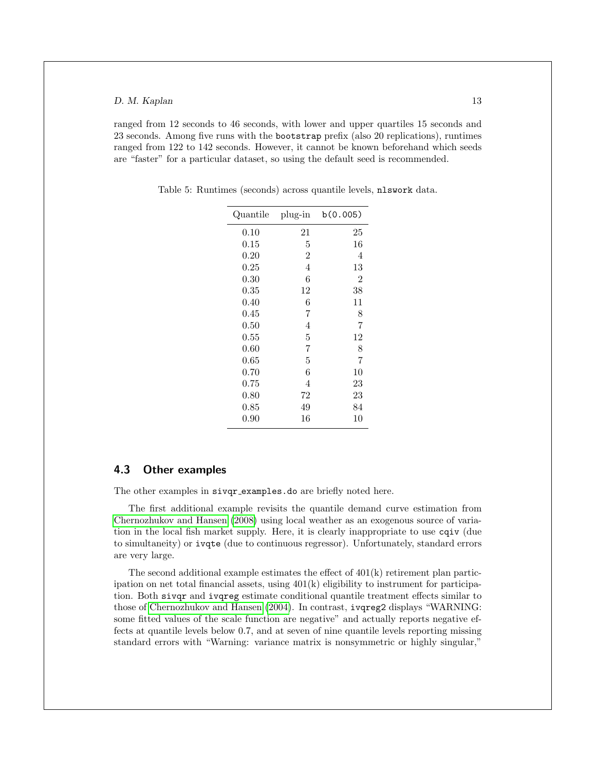ranged from 12 seconds to 46 seconds, with lower and upper quartiles 15 seconds and 23 seconds. Among five runs with the bootstrap prefix (also 20 replications), runtimes ranged from 122 to 142 seconds. However, it cannot be known beforehand which seeds are "faster" for a particular dataset, so using the default seed is recommended.

| Quantile   | plug-in        | b(0.005) |
|------------|----------------|----------|
| $0.10\,$   | 21             | 25       |
| $0.15\,$   | 5              | 16       |
| 0.20       | $\overline{2}$ | 4        |
| 0.25       | 4              | 13       |
| $0.30\,$   | 6              | 2        |
| $\rm 0.35$ | 12             | 38       |
| 0.40       | 6              | 11       |
| $0.45\,$   | 7              | 8        |
| $0.50\,$   | 4              | 7        |
| $\rm 0.55$ | 5              | 12       |
| 0.60       | 7              | 8        |
| $0.65\,$   | 5              | 7        |
| 0.70       | 6              | 10       |
| 0.75       | 4              | 23       |
| 0.80       | 72             | 23       |
| 0.85       | 49             | 84       |
| 0.90       | 16             | 10       |

Table 5: Runtimes (seconds) across quantile levels, nlswork data.

## 4.3 Other examples

The other examples in sivqr\_examples.do are briefly noted here.

The first additional example revisits the quantile demand curve estimation from [Chernozhukov and Hansen](#page-22-6) [\(2008\)](#page-22-6) using local weather as an exogenous source of variation in the local fish market supply. Here, it is clearly inappropriate to use cqiv (due to simultaneity) or ivqte (due to continuous regressor). Unfortunately, standard errors are very large.

The second additional example estimates the effect of 401(k) retirement plan participation on net total financial assets, using  $401(k)$  eligibility to instrument for participation. Both sivqr and ivqreg estimate conditional quantile treatment effects similar to those of [Chernozhukov and Hansen](#page-21-3) [\(2004\)](#page-21-3). In contrast, ivqreg2 displays "WARNING: some fitted values of the scale function are negative" and actually reports negative effects at quantile levels below 0.7, and at seven of nine quantile levels reporting missing standard errors with "Warning: variance matrix is nonsymmetric or highly singular,"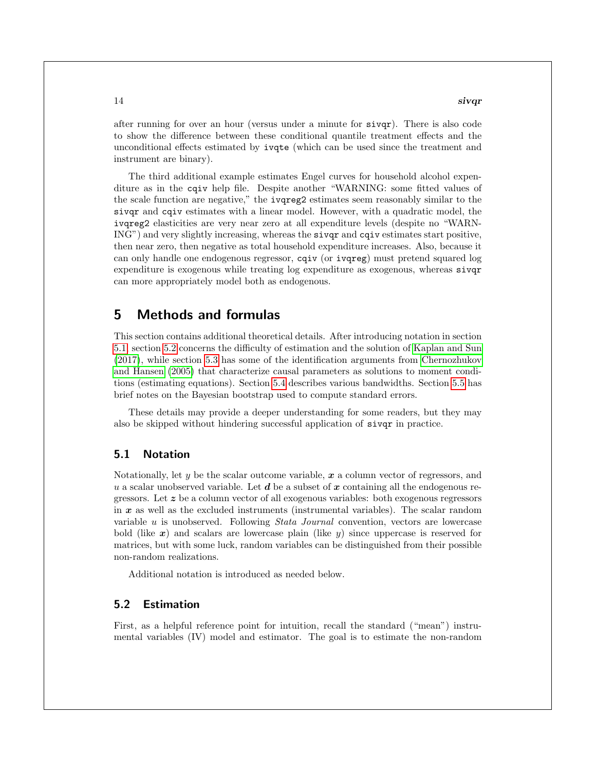#### $14$  siv $\boldsymbol{q}$ r siv $\boldsymbol{q}$ r siv $\boldsymbol{q}$ r siv $\boldsymbol{q}$ r siv $\boldsymbol{q}$ r siv $\boldsymbol{q}$ r siv $\boldsymbol{q}$ r siv $\boldsymbol{q}$ r siv $\boldsymbol{q}$ r siv $\boldsymbol{q}$ r siv $\boldsymbol{q}$ r siv $\boldsymbol{q}$ r siv $\boldsymbol{q}$ r siv $\boldsymbol{q}$ r siv $\boldsymbol{q}$ r siv $\boldsymbol{q}$ r siv $\boldsymbol{$

after running for over an hour (versus under a minute for sivqr). There is also code to show the difference between these conditional quantile treatment effects and the unconditional effects estimated by ivqte (which can be used since the treatment and instrument are binary).

The third additional example estimates Engel curves for household alcohol expenditure as in the cqiv help file. Despite another "WARNING: some fitted values of the scale function are negative," the ivqreg2 estimates seem reasonably similar to the sivqr and cqiv estimates with a linear model. However, with a quadratic model, the ivqreg2 elasticities are very near zero at all expenditure levels (despite no "WARN-ING") and very slightly increasing, whereas the sivqr and cqiv estimates start positive, then near zero, then negative as total household expenditure increases. Also, because it can only handle one endogenous regressor, cqiv (or ivqreg) must pretend squared log expenditure is exogenous while treating log expenditure as exogenous, whereas sivqr can more appropriately model both as endogenous.

## <span id="page-13-0"></span>5 Methods and formulas

This section contains additional theoretical details. After introducing notation in section [5.1,](#page-13-1) section [5.2](#page-13-2) concerns the difficulty of estimation and the solution of [Kaplan and Sun](#page-23-0) [\(2017\)](#page-23-0), while section [5.3](#page-15-0) has some of the identification arguments from [Chernozhukov](#page-22-0) [and Hansen](#page-22-0) [\(2005\)](#page-22-0) that characterize causal parameters as solutions to moment conditions (estimating equations). Section [5.4](#page-16-0) describes various bandwidths. Section [5.5](#page-20-0) has brief notes on the Bayesian bootstrap used to compute standard errors.

These details may provide a deeper understanding for some readers, but they may also be skipped without hindering successful application of sivqr in practice.

## <span id="page-13-1"></span>5.1 Notation

Notationally, let  $y$  be the scalar outcome variable,  $x$  a column vector of regressors, and u a scalar unobserved variable. Let  $d$  be a subset of x containing all the endogenous regressors. Let  $z$  be a column vector of all exogenous variables: both exogenous regressors in  $x$  as well as the excluded instruments (instrumental variables). The scalar random variable u is unobserved. Following Stata Journal convention, vectors are lowercase bold (like  $x$ ) and scalars are lowercase plain (like  $y$ ) since uppercase is reserved for matrices, but with some luck, random variables can be distinguished from their possible non-random realizations.

Additional notation is introduced as needed below.

## <span id="page-13-2"></span>5.2 Estimation

First, as a helpful reference point for intuition, recall the standard ("mean") instrumental variables (IV) model and estimator. The goal is to estimate the non-random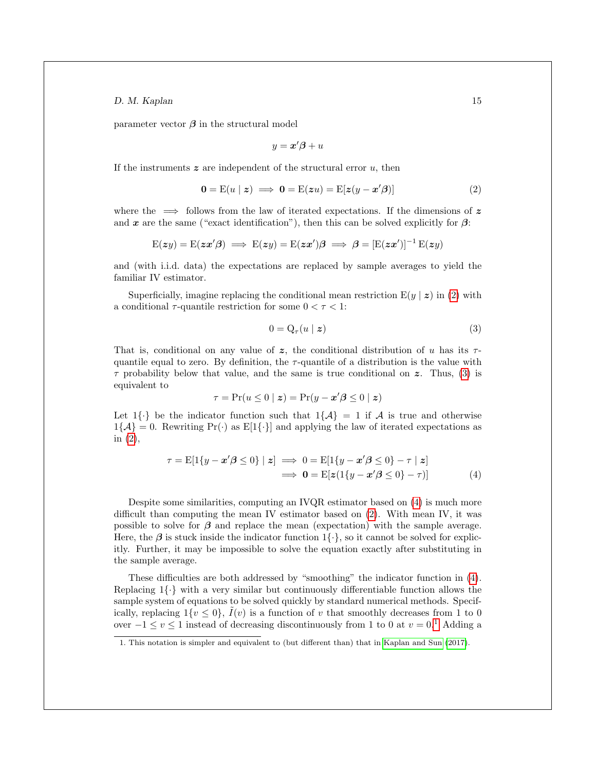parameter vector  $\beta$  in the structural model

<span id="page-14-0"></span>
$$
y = \boldsymbol{x}'\boldsymbol{\beta} + u
$$

If the instruments  $z$  are independent of the structural error  $u$ , then

$$
\mathbf{0} = \mathbf{E}(u \mid \mathbf{z}) \implies \mathbf{0} = \mathbf{E}(\mathbf{z}u) = \mathbf{E}[\mathbf{z}(y - \mathbf{x}'\boldsymbol{\beta})]
$$
(2)

where the  $\implies$  follows from the law of iterated expectations. If the dimensions of z and x are the same ("exact identification"), then this can be solved explicitly for  $\beta$ :

$$
\mathrm{E} (zy) = \mathrm{E} (zx'\beta) \implies \mathrm{E} (zy) = \mathrm{E} (zx')\beta \implies \beta = [\mathrm{E} (zx')]^{-1} \, \mathrm{E} (zy)
$$

and (with i.i.d. data) the expectations are replaced by sample averages to yield the familiar IV estimator.

Superficially, imagine replacing the conditional mean restriction  $E(y | z)$  in [\(2\)](#page-14-0) with a conditional  $\tau$ -quantile restriction for some  $0 < \tau < 1$ :

<span id="page-14-2"></span><span id="page-14-1"></span>
$$
0 = Q_{\tau}(u \mid z) \tag{3}
$$

That is, conditional on any value of z, the conditional distribution of u has its  $\tau$ quantile equal to zero. By definition, the  $\tau$ -quantile of a distribution is the value with  $\tau$  probability below that value, and the same is true conditional on z. Thus, [\(3\)](#page-14-1) is equivalent to

$$
\tau = \Pr(u \le 0 \mid z) = \Pr(y - x'\beta \le 0 \mid z)
$$

Let  $1\{\cdot\}$  be the indicator function such that  $1\{\mathcal{A}\}=1$  if A is true and otherwise  $1\{\mathcal{A}\}=0$ . Rewriting  $Pr(\cdot)$  as  $E[1\{\cdot\}]$  and applying the law of iterated expectations as in [\(2\)](#page-14-0),

$$
\tau = \mathbb{E}[1\{y - x'\beta \le 0\} \mid z] \implies 0 = \mathbb{E}[1\{y - x'\beta \le 0\} - \tau \mid z]
$$
  

$$
\implies 0 = \mathbb{E}[z(1\{y - x'\beta \le 0\} - \tau)] \tag{4}
$$

Despite some similarities, computing an IVQR estimator based on [\(4\)](#page-14-2) is much more difficult than computing the mean IV estimator based on [\(2\)](#page-14-0). With mean IV, it was possible to solve for  $\beta$  and replace the mean (expectation) with the sample average. Here, the  $\beta$  is stuck inside the indicator function  $1\{\cdot\}$ , so it cannot be solved for explicitly. Further, it may be impossible to solve the equation exactly after substituting in the sample average.

These difficulties are both addressed by "smoothing" the indicator function in [\(4\)](#page-14-2). Replacing  $1\{\cdot\}$  with a very similar but continuously differentiable function allows the sample system of equations to be solved quickly by standard numerical methods. Specifically, replacing  $1\{v \leq 0\}$ ,  $\tilde{I}(v)$  is a function of v that smoothly decreases from 1 to 0 over  $-1 \le v \le 1$  $-1 \le v \le 1$  $-1 \le v \le 1$  instead of decreasing discontinuously from 1 to 0 at  $v = 0.1$  Adding a

<span id="page-14-3"></span><sup>1.</sup> This notation is simpler and equivalent to (but different than) that in [Kaplan and Sun](#page-23-0) [\(2017\)](#page-23-0).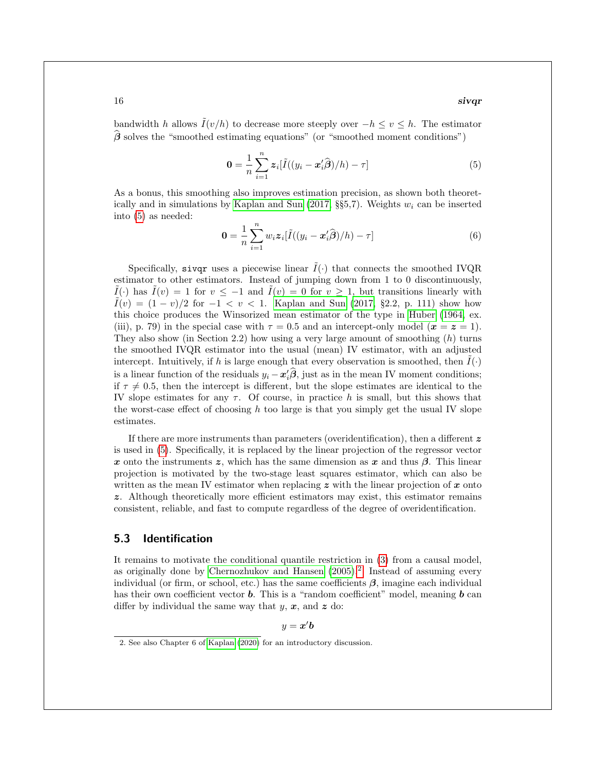$16$  siv $\boldsymbol{q}$ r siv $\boldsymbol{q}$ r siv $\boldsymbol{q}$ r siv $\boldsymbol{q}$ r siv $\boldsymbol{q}$ r siv $\boldsymbol{q}$ r siv $\boldsymbol{q}$ r siv $\boldsymbol{q}$ r siv $\boldsymbol{q}$ r siv $\boldsymbol{q}$ r siv $\boldsymbol{q}$ r siv $\boldsymbol{q}$ r siv $\boldsymbol{q}$ r siv $\boldsymbol{q}$ r siv $\boldsymbol{q}$ r siv $\boldsymbol{q}$ r siv $\boldsymbol{$ 

bandwidth h allows  $\tilde{I}(v/h)$  to decrease more steeply over  $-h \le v \le h$ . The estimator  $\hat{\beta}$  solves the "smoothed estimating equations" (or "smoothed moment conditions")

<span id="page-15-1"></span>
$$
\mathbf{0} = \frac{1}{n} \sum_{i=1}^{n} \mathbf{z}_i [\tilde{I}((y_i - \mathbf{x}_i'\hat{\boldsymbol{\beta}})/h) - \tau] \tag{5}
$$

As a bonus, this smoothing also improves estimation precision, as shown both theoret-ically and in simulations by [Kaplan and Sun](#page-23-0) [\(2017,](#page-23-0) §§5,7). Weights  $w_i$  can be inserted into [\(5\)](#page-15-1) as needed:

<span id="page-15-3"></span>
$$
\mathbf{0} = \frac{1}{n} \sum_{i=1}^{n} w_i \mathbf{z}_i [\tilde{I}((y_i - \mathbf{x}_i'\hat{\boldsymbol{\beta}})/h) - \tau] \tag{6}
$$

Specifically, sivqr uses a piecewise linear  $\tilde{I}(\cdot)$  that connects the smoothed IVQR estimator to other estimators. Instead of jumping down from 1 to 0 discontinuously,  $I(\cdot)$  has  $I(v) = 1$  for  $v \le -1$  and  $\tilde{I}(v) = 0$  for  $v \ge 1$ , but transitions linearly with  $I(v) = (1 - v)/2$  for  $-1 < v < 1$ . [Kaplan and Sun](#page-23-0) [\(2017,](#page-23-0) §2.2, p. 111) show how this choice produces the Winsorized mean estimator of the type in [Huber](#page-22-10) [\(1964,](#page-22-10) ex. (iii), p. 79) in the special case with  $\tau = 0.5$  and an intercept-only model  $(\mathbf{x} = \mathbf{z} = 1)$ . They also show (in Section 2.2) how using a very large amount of smoothing  $(h)$  turns the smoothed IVQR estimator into the usual (mean) IV estimator, with an adjusted intercept. Intuitively, if h is large enough that every observation is smoothed, then  $I(\cdot)$ is a linear function of the residuals  $y_i - x'_i\hat{\beta}$ , just as in the mean IV moment conditions; if  $\tau \neq 0.5$ , then the intercept is different, but the slope estimates are identical to the IV slope estimates for any  $\tau$ . Of course, in practice h is small, but this shows that the worst-case effect of choosing h too large is that you simply get the usual IV slope estimates.

If there are more instruments than parameters (overidentification), then a different z is used in [\(5\)](#page-15-1). Specifically, it is replaced by the linear projection of the regressor vector x onto the instruments z, which has the same dimension as x and thus  $\beta$ . This linear projection is motivated by the two-stage least squares estimator, which can also be written as the mean IV estimator when replacing  $z$  with the linear projection of x onto z. Although theoretically more efficient estimators may exist, this estimator remains consistent, reliable, and fast to compute regardless of the degree of overidentification.

## <span id="page-15-0"></span>5.3 Identification

It remains to motivate the conditional quantile restriction in [\(3\)](#page-14-1) from a causal model, as originally done by [Chernozhukov and Hansen](#page-22-0) [\(2005\)](#page-22-0).<sup>[2](#page-15-2)</sup> Instead of assuming every individual (or firm, or school, etc.) has the same coefficients  $\beta$ , imagine each individual has their own coefficient vector **b**. This is a "random coefficient" model, meaning **b** can differ by individual the same way that  $y, x$ , and  $z$  do:

 $y = x'b$ 

<span id="page-15-2"></span><sup>2.</sup> See also Chapter 6 of [Kaplan](#page-22-11) [\(2020\)](#page-22-11) for an introductory discussion.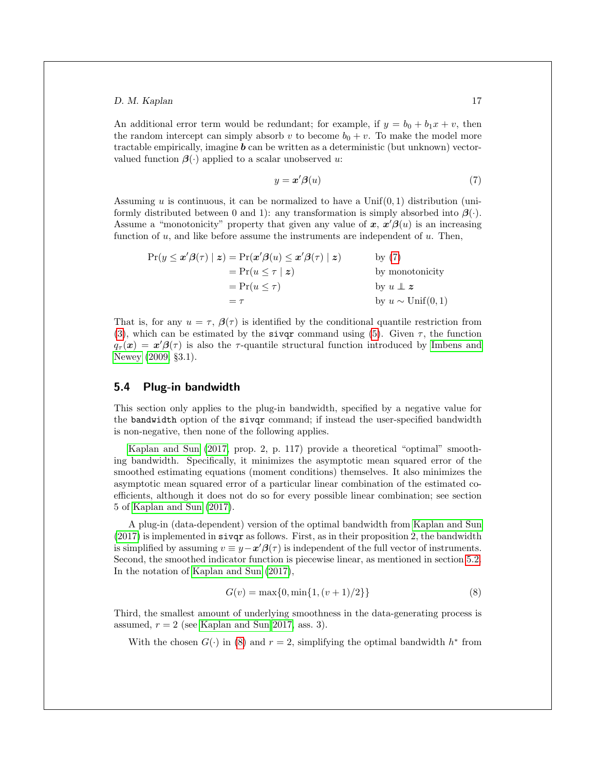An additional error term would be redundant; for example, if  $y = b_0 + b_1x + v$ , then the random intercept can simply absorb v to become  $b_0 + v$ . To make the model more tractable empirically, imagine  $\boldsymbol{b}$  can be written as a deterministic (but unknown) vectorvalued function  $\beta(\cdot)$  applied to a scalar unobserved u:

<span id="page-16-1"></span>
$$
y = \mathbf{x}'\boldsymbol{\beta}(u) \tag{7}
$$

Assuming  $u$  is continuous, it can be normalized to have a Unif $(0, 1)$  distribution (uniformly distributed between 0 and 1): any transformation is simply absorbed into  $\beta(\cdot)$ . Assume a "monotonicity" property that given any value of  $x, x'\beta(u)$  is an increasing function of  $u$ , and like before assume the instruments are independent of  $u$ . Then,

$$
\Pr(y \le x'\beta(\tau) \mid z) = \Pr(x'\beta(u) \le x'\beta(\tau) \mid z) \qquad \text{by (7)}
$$
\n
$$
= \Pr(u \le \tau \mid z) \qquad \text{by monotonicity}
$$
\n
$$
= \Pr(u \le \tau) \qquad \text{by } u \perp z
$$
\n
$$
= \tau \qquad \text{by } u \sim \text{Unif}(0, 1)
$$

That is, for any  $u = \tau$ ,  $\beta(\tau)$  is identified by the conditional quantile restriction from [\(3\)](#page-14-1), which can be estimated by the siver command using [\(5\)](#page-15-1). Given  $\tau$ , the function  $q_{\tau}(\boldsymbol{x}) = \boldsymbol{x}'\boldsymbol{\beta}(\tau)$  is also the  $\tau$ -quantile structural function introduced by [Imbens and](#page-22-9) [Newey](#page-22-9) [\(2009,](#page-22-9) §3.1).

#### <span id="page-16-0"></span>5.4 Plug-in bandwidth

This section only applies to the plug-in bandwidth, specified by a negative value for the bandwidth option of the sivqr command; if instead the user-specified bandwidth is non-negative, then none of the following applies.

[Kaplan and Sun](#page-23-0) [\(2017,](#page-23-0) prop. 2, p. 117) provide a theoretical "optimal" smoothing bandwidth. Specifically, it minimizes the asymptotic mean squared error of the smoothed estimating equations (moment conditions) themselves. It also minimizes the asymptotic mean squared error of a particular linear combination of the estimated coefficients, although it does not do so for every possible linear combination; see section 5 of [Kaplan and Sun](#page-23-0) [\(2017\)](#page-23-0).

A plug-in (data-dependent) version of the optimal bandwidth from [Kaplan and Sun](#page-23-0)  $(2017)$  is implemented in sivqr as follows. First, as in their proposition 2, the bandwidth is simplified by assuming  $v \equiv y - x'\beta(\tau)$  is independent of the full vector of instruments. Second, the smoothed indicator function is piecewise linear, as mentioned in section [5.2.](#page-13-2) In the notation of [Kaplan and Sun](#page-23-0) [\(2017\)](#page-23-0),

<span id="page-16-2"></span>
$$
G(v) = \max\{0, \min\{1, (v+1)/2\}\}\tag{8}
$$

Third, the smallest amount of underlying smoothness in the data-generating process is assumed,  $r = 2$  (see [Kaplan and Sun 2017,](#page-23-0) ass. 3).

With the chosen  $G(\cdot)$  in [\(8\)](#page-16-2) and  $r = 2$ , simplifying the optimal bandwidth  $h^*$  from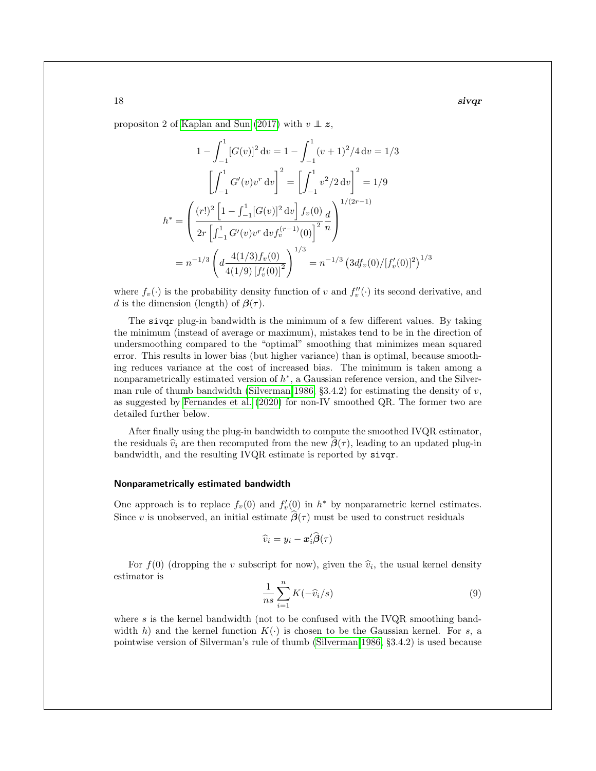$18$  siv $\boldsymbol{q}$ r siv $\boldsymbol{q}$ r siv $\boldsymbol{q}$ r siv $\boldsymbol{q}$ r siv $\boldsymbol{q}$ r siv $\boldsymbol{q}$ r siv $\boldsymbol{q}$ r siv $\boldsymbol{q}$ r siv $\boldsymbol{q}$ r siv $\boldsymbol{q}$ r siv $\boldsymbol{q}$ r siv $\boldsymbol{q}$ r siv $\boldsymbol{q}$ r siv $\boldsymbol{q}$ r siv $\boldsymbol{q}$ r siv $\boldsymbol{q}$ r siv $\boldsymbol{$ 

propositon 2 of [Kaplan and Sun](#page-23-0) [\(2017\)](#page-23-0) with  $v \perp z$ ,

$$
1 - \int_{-1}^{1} [G(v)]^2 dv = 1 - \int_{-1}^{1} (v+1)^2 / 4 dv = 1/3
$$

$$
\left[ \int_{-1}^{1} G'(v) v^r dv \right]^2 = \left[ \int_{-1}^{1} v^2 / 2 dv \right]^2 = 1/9
$$

$$
h^* = \left( \frac{(r!)^2 \left[ 1 - \int_{-1}^{1} [G(v)]^2 dv \right] f_v(0) d}{2r \left[ \int_{-1}^{1} G'(v) v^r dv f_v^{(r-1)}(0) \right]^2 n} \right)^{1/(2r-1)}
$$

$$
= n^{-1/3} \left( d \frac{4(1/3) f_v(0)}{4(1/9) [f'_v(0)]^2} \right)^{1/3} = n^{-1/3} \left( 3df_v(0) / [f'_v(0)]^2 \right)^{1/3}
$$

where  $f_v(\cdot)$  is the probability density function of v and  $f''_v(\cdot)$  its second derivative, and d is the dimension (length) of  $\beta(\tau)$ .

The sivqr plug-in bandwidth is the minimum of a few different values. By taking the minimum (instead of average or maximum), mistakes tend to be in the direction of undersmoothing compared to the "optimal" smoothing that minimizes mean squared error. This results in lower bias (but higher variance) than is optimal, because smoothing reduces variance at the cost of increased bias. The minimum is taken among a nonparametrically estimated version of  $h^*$ , a Gaussian reference version, and the Silver-man rule of thumb bandwidth [\(Silverman 1986,](#page-23-6) §3.4.2) for estimating the density of  $v$ , as suggested by [Fernandes et al.](#page-22-12) [\(2020\)](#page-22-12) for non-IV smoothed QR. The former two are detailed further below.

After finally using the plug-in bandwidth to compute the smoothed IVQR estimator, the residuals  $\hat{v}_i$  are then recomputed from the new  $\beta(\tau)$ , leading to an updated plug-in bandwidth, and the resulting IVQR estimate is reported by sivqr.

#### Nonparametrically estimated bandwidth

One approach is to replace  $f_v(0)$  and  $f'_v(0)$  in  $h^*$  by nonparametric kernel estimates. Since v is unobserved, an initial estimate  $\beta(\tau)$  must be used to construct residuals

$$
\widehat{v}_i = y_i - \boldsymbol{x}_i' \widehat{\boldsymbol{\beta}}(\tau)
$$

<span id="page-17-0"></span>For  $f(0)$  (dropping the v subscript for now), given the  $\hat{v}_i$ , the usual kernel density mator is estimator is

$$
\frac{1}{ns} \sum_{i=1}^{n} K(-\widehat{v}_i/s)
$$
\n(9)

where s is the kernel bandwidth (not to be confused with the IVQR smoothing bandwidth h) and the kernel function  $K(\cdot)$  is chosen to be the Gaussian kernel. For s, a pointwise version of Silverman's rule of thumb [\(Silverman 1986,](#page-23-6) §3.4.2) is used because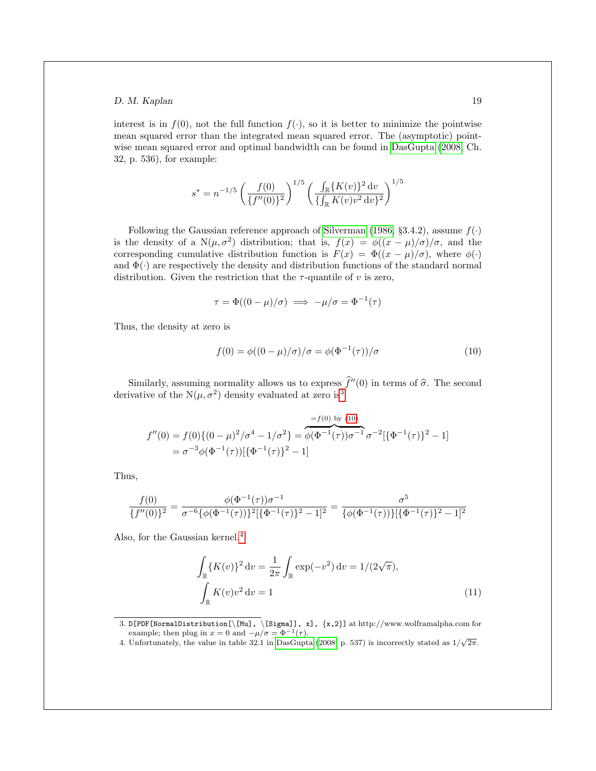interest is in  $f(0)$ , not the full function  $f(\cdot)$ , so it is better to minimize the pointwise mean squared error than the integrated mean squared error. The (asymptotic) pointwise mean squared error and optimal bandwidth can be found in [DasGupta](#page-22-13) [\(2008,](#page-22-13) Ch. 32, p. 536), for example:

$$
s^* = n^{-1/5} \left(\frac{f(0)}{\{f''(0)\}^2}\right)^{1/5} \left(\frac{\int_{\mathbb{R}} \{K(v)\}^2 dv}{\{\int_{\mathbb{R}} K(v)v^2 dv\}^2}\right)^{1/5}
$$

Following the Gaussian reference approach of [Silverman](#page-23-6) [\(1986,](#page-23-6) §3.4.2), assume  $f(\cdot)$ is the density of a N( $\mu$ , $\sigma^2$ ) distribution; that is,  $f(x) = \phi((x - \mu)/\sigma)/\sigma$ , and the corresponding cumulative distribution function is  $F(x) = \Phi((x - \mu)/\sigma)$ , where  $\phi(\cdot)$ and  $\Phi(\cdot)$  are respectively the density and distribution functions of the standard normal distribution. Given the restriction that the  $\tau$ -quantile of v is zero,

<span id="page-18-1"></span>
$$
\tau = \Phi((0 - \mu)/\sigma) \implies -\mu/\sigma = \Phi^{-1}(\tau)
$$

Thus, the density at zero is

$$
f(0) = \phi((0 - \mu)/\sigma)/\sigma = \phi(\Phi^{-1}(\tau))/\sigma
$$
\n(10)

Similarly, assuming normality allows us to express  $\hat{f}''(0)$  in terms of  $\hat{\sigma}$ . The second derivative of the  $N(\mu, \sigma^2)$  density evaluated at zero is<sup>[3](#page-18-0)</sup>

$$
f''(0) = f(0)\{(0 - \mu)^2/\sigma^4 - 1/\sigma^2\} = \overbrace{\phi(\Phi^{-1}(\tau))\sigma^{-1}}^{=f(0) \text{ by } (10)} \sigma^{-2}[\{\Phi^{-1}(\tau)\}^2 - 1]
$$
  
= 
$$
\sigma^{-3}\phi(\Phi^{-1}(\tau))[\{\Phi^{-1}(\tau)\}^2 - 1]
$$

Thus,

$$
\frac{f(0)}{\{f''(0)\}^2} = \frac{\phi(\Phi^{-1}(\tau))\sigma^{-1}}{\sigma^{-6}\{\phi(\Phi^{-1}(\tau))\}^2[\{\Phi^{-1}(\tau)\}^2 - 1]^2} = \frac{\sigma^5}{\{\phi(\Phi^{-1}(\tau))\}[\{\Phi^{-1}(\tau)\}^2 - 1]^2}
$$

Also, for the Gaussian kernel,  $4$ 

<span id="page-18-3"></span>
$$
\int_{\mathbb{R}} \{K(v)\}^2 dv = \frac{1}{2\pi} \int_{\mathbb{R}} \exp(-v^2) dv = 1/(2\sqrt{\pi}),
$$
\n
$$
\int_{\mathbb{R}} K(v)v^2 dv = 1
$$
\n(11)

<span id="page-18-0"></span>3. D[PDF[NormalDistribution[\[Mu], \[Sigma]], x], {x,2}] at http://www.wolframalpha.com for example; then plug in  $x = 0$  and  $-\mu/\sigma = \Phi^{-1}(\tau)$ .

<span id="page-18-2"></span>example; then plug in  $x = 0$  and  $-\mu/\sigma = \Psi$   $\tau(\tau)$ .<br>4. Unfortunately, the value in table 32.1 in [DasGupta](#page-22-13) [\(2008,](#page-22-13) p. 537) is incorrectly stated as  $1/\sqrt{2\pi}$ .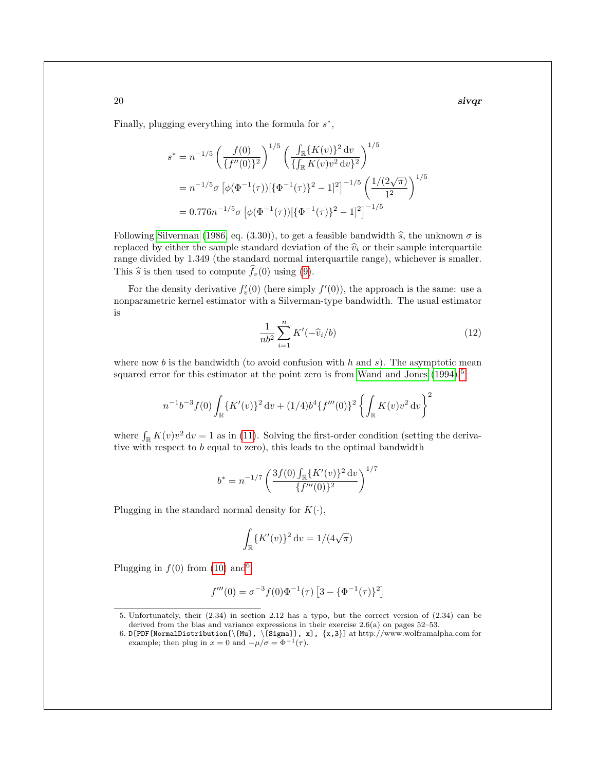$20$  siv $\boldsymbol{q}$ r siv $\boldsymbol{q}$ r siv $\boldsymbol{q}$ r siv $\boldsymbol{q}$ r siv $\boldsymbol{q}$ r siv $\boldsymbol{q}$ r siv $\boldsymbol{q}$ r siv $\boldsymbol{q}$ r siv $\boldsymbol{q}$ r siv $\boldsymbol{q}$ r siv $\boldsymbol{q}$ r siv $\boldsymbol{q}$ r siv $\boldsymbol{q}$ r siv $\boldsymbol{q}$ r siv $\boldsymbol{q}$ r siv $\boldsymbol{q}$ r siv $\boldsymbol{$ 

Finally, plugging everything into the formula for  $s^*$ ,

$$
s^* = n^{-1/5} \left( \frac{f(0)}{\{f''(0)\}^2} \right)^{1/5} \left( \frac{\int_{\mathbb{R}} \{K(v)\}^2 dv}{\{\int_{\mathbb{R}} K(v)v^2 dv\}^2} \right)^{1/5}
$$
  
=  $n^{-1/5} \sigma \left[ \phi(\Phi^{-1}(\tau)) [\{\Phi^{-1}(\tau)\}^2 - 1]^2 \right]^{-1/5} \left( \frac{1/(2\sqrt{\pi})}{1^2} \right)^{1/5}$   
= 0.776n<sup>-1/5</sup>  $\sigma \left[ \phi(\Phi^{-1}(\tau)) [\{\Phi^{-1}(\tau)\}^2 - 1]^2 \right]^{-1/5}$ 

Following [Silverman](#page-23-6) [\(1986,](#page-23-6) eq. (3.30)), to get a feasible bandwidth  $\hat{s}$ , the unknown  $\sigma$  is replaced by either the sample standard deviation of the  $\hat{v}_i$  or their sample interquartile range divided by 1.349 (the standard normal interquartile range), whichever is smaller. This  $\hat{s}$  is then used to compute  $\hat{f}_v(0)$  using [\(9\)](#page-17-0).

<span id="page-19-2"></span>For the density derivative  $f'_{v}(0)$  (here simply  $f'(0)$ ), the approach is the same: use a nonparametric kernel estimator with a Silverman-type bandwidth. The usual estimator is

$$
\frac{1}{nb^2} \sum_{i=1}^n K'(-\widehat{v}_i/b) \tag{12}
$$

where now b is the bandwidth (to avoid confusion with h and s). The asymptotic mean squared error for this estimator at the point zero is from [Wand and Jones](#page-23-7)  $(1994)$ ,<sup>[5](#page-19-0)</sup>

$$
n^{-1}b^{-3}f(0)\int_{\mathbb{R}} \{K'(v)\}^2 dv + (1/4)b^4\{f'''(0)\}^2 \left\{\int_{\mathbb{R}} K(v)v^2 dv\right\}^2
$$

where  $\int_{\mathbb{R}} K(v)v^2 dv = 1$  as in [\(11\)](#page-18-3). Solving the first-order condition (setting the derivative with respect to b equal to zero), this leads to the optimal bandwidth

$$
b^* = n^{-1/7} \left( \frac{3f(0) \int_{\mathbb{R}} \{K'(v)\}^2 dv}{\{f'''(0)\}^2} \right)^{1/7}
$$

Plugging in the standard normal density for  $K(\cdot)$ ,

$$
\int_{\mathbb{R}} \left\{ K'(v) \right\}^2 \mathrm{d}v = 1/(4\sqrt{\pi})
$$

Plugging in  $f(0)$  from [\(10\)](#page-18-1) and<sup>[6](#page-19-1)</sup>

$$
f'''(0) = \sigma^{-3} f(0) \Phi^{-1}(\tau) \left[ 3 - {\Phi^{-1}(\tau)}^2 \right]
$$

<span id="page-19-0"></span><sup>5.</sup> Unfortunately, their (2.34) in section 2.12 has a typo, but the correct version of (2.34) can be derived from the bias and variance expressions in their exercise 2.6(a) on pages 52–53.

<span id="page-19-1"></span><sup>6.</sup> D[PDF[NormalDistribution[\[Mu], \[Sigma]], x], {x,3}] at http://www.wolframalpha.com for example; then plug in  $x = 0$  and  $-\mu/\sigma = \Phi^{-1}(\tau)$ .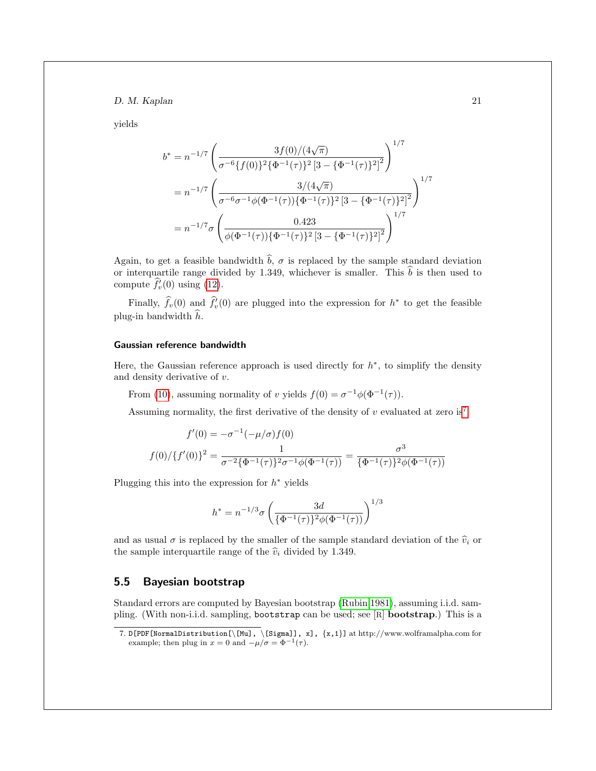yields

$$
b^* = n^{-1/7} \left( \frac{3f(0)/(4\sqrt{\pi})}{\sigma^{-6} \{f(0)\}^2 \{\Phi^{-1}(\tau)\}^2 \left[3 - \{\Phi^{-1}(\tau)\}^2\right]^2} \right)^{1/7}
$$
  
=  $n^{-1/7} \left( \frac{3/(4\sqrt{\pi})}{\sigma^{-6} \sigma^{-1} \phi(\Phi^{-1}(\tau)) \{\Phi^{-1}(\tau)\}^2 \left[3 - \{\Phi^{-1}(\tau)\}^2\right]^2} \right)^{1/7}$   
=  $n^{-1/7} \sigma \left( \frac{0.423}{\phi(\Phi^{-1}(\tau)) \{\Phi^{-1}(\tau)\}^2 \left[3 - \{\Phi^{-1}(\tau)\}^2\right]^2} \right)^{1/7}$ 

Again, to get a feasible bandwidth  $\hat{b}$ ,  $\sigma$  is replaced by the sample standard deviation or interquartile range divided by 1.349, whichever is smaller. This  $\hat{b}$  is then used to compute  $\hat{f}'_v(0)$  using [\(12\)](#page-19-2).

Finally,  $\hat{f}_v(0)$  and  $\hat{f}_v'(0)$  are plugged into the expression for  $h^*$  to get the feasible plug-in bandwidth  $\hat{h}$ .

#### Gaussian reference bandwidth

Here, the Gaussian reference approach is used directly for  $h^*$ , to simplify the density and density derivative of v.

From [\(10\)](#page-18-1), assuming normality of v yields  $f(0) = \sigma^{-1} \phi(\Phi^{-1}(\tau))$ .

Assuming normality, the first derivative of the density of  $v$  evaluated at zero is<sup>[7](#page-20-1)</sup>

$$
f'(0) = -\sigma^{-1}(-\mu/\sigma)f(0)
$$

$$
f(0)/\{f'(0)\}^2 = \frac{1}{\sigma^{-2}\{\Phi^{-1}(\tau)\}^2\sigma^{-1}\phi(\Phi^{-1}(\tau))} = \frac{\sigma^3}{\{\Phi^{-1}(\tau)\}^2\phi(\Phi^{-1}(\tau))}
$$

Plugging this into the expression for  $h^*$  yields

$$
h^* = n^{-1/3} \sigma \left(\frac{3d}{\{\Phi^{-1}(\tau)\}^2 \phi(\Phi^{-1}(\tau))}\right)^{1/3}
$$

and as usual  $\sigma$  is replaced by the smaller of the sample standard deviation of the  $\hat{v}_i$  or the sample interquartile range of the  $\hat{v}_i$  divided by 1.349.

## <span id="page-20-0"></span>5.5 Bayesian bootstrap

Standard errors are computed by Bayesian bootstrap [\(Rubin 1981\)](#page-23-8), assuming i.i.d. sampling. (With non-i.i.d. sampling, bootstrap can be used; see [R] bootstrap.) This is a

<span id="page-20-1"></span><sup>7.</sup> D[PDF[NormalDistribution[\[Mu], \[Sigma]], x], {x,1}] at http://www.wolframalpha.com for example; then plug in  $x = 0$  and  $-\mu/\sigma = \Phi^{-1}(\tau)$ .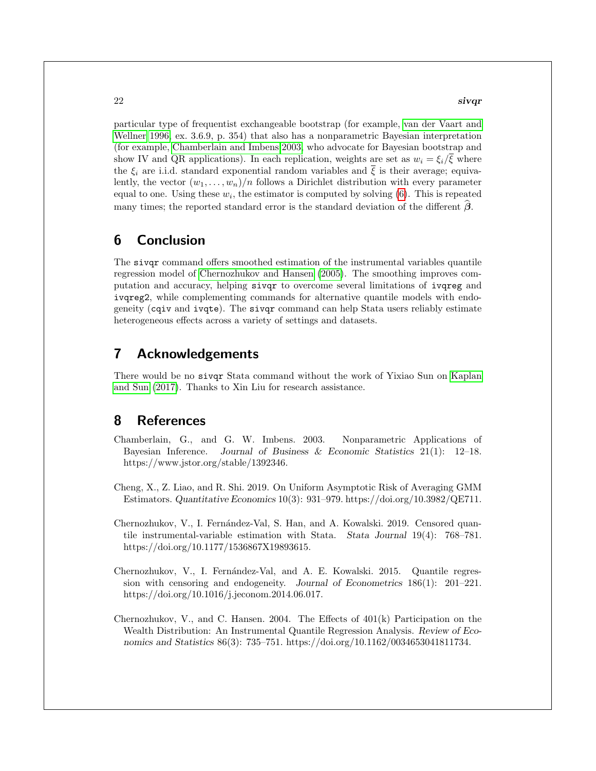#### $22$  sivqr

particular type of frequentist exchangeable bootstrap (for example, [van der Vaart and](#page-23-9) [Wellner 1996,](#page-23-9) ex. 3.6.9, p. 354) that also has a nonparametric Bayesian interpretation (for example, [Chamberlain and Imbens 2003,](#page-21-4) who advocate for Bayesian bootstrap and show IV and QR applications). In each replication, weights are set as  $w_i = \xi_i/\overline{\xi}$  where the  $\xi_i$  are i.i.d. standard exponential random variables and  $\overline{\xi}$  is their average; equivalently, the vector  $(w_1, \ldots, w_n)/n$  follows a Dirichlet distribution with every parameter equal to one. Using these  $w_i$ , the estimator is computed by solving  $(6)$ . This is repeated many times; the reported standard error is the standard deviation of the different  $\beta$ .

## 6 Conclusion

The sivqr command offers smoothed estimation of the instrumental variables quantile regression model of [Chernozhukov and Hansen](#page-22-0) [\(2005\)](#page-22-0). The smoothing improves computation and accuracy, helping sivqr to overcome several limitations of ivqreg and ivqreg2, while complementing commands for alternative quantile models with endogeneity (cqiv and ivqte). The sivqr command can help Stata users reliably estimate heterogeneous effects across a variety of settings and datasets.

## 7 Acknowledgements

There would be no sivqr Stata command without the work of Yixiao Sun on [Kaplan](#page-23-0) [and Sun](#page-23-0) [\(2017\)](#page-23-0). Thanks to Xin Liu for research assistance.

## 8 References

- <span id="page-21-4"></span>Chamberlain, G., and G. W. Imbens. 2003. Nonparametric Applications of Bayesian Inference. Journal of Business & Economic Statistics 21(1): 12–18. https://www.jstor.org/stable/1392346.
- <span id="page-21-0"></span>Cheng, X., Z. Liao, and R. Shi. 2019. On Uniform Asymptotic Risk of Averaging GMM Estimators. Quantitative Economics 10(3): 931–979. https://doi.org/10.3982/QE711.
- <span id="page-21-1"></span>Chernozhukov, V., I. Fernández-Val, S. Han, and A. Kowalski. 2019. Censored quantile instrumental-variable estimation with Stata. Stata Journal 19(4): 768–781. https://doi.org/10.1177/1536867X19893615.
- <span id="page-21-2"></span>Chernozhukov, V., I. Fernández-Val, and A. E. Kowalski. 2015. Quantile regression with censoring and endogeneity. Journal of Econometrics 186(1): 201–221. https://doi.org/10.1016/j.jeconom.2014.06.017.
- <span id="page-21-3"></span>Chernozhukov, V., and C. Hansen. 2004. The Effects of 401(k) Participation on the Wealth Distribution: An Instrumental Quantile Regression Analysis. Review of Economics and Statistics 86(3): 735–751. https://doi.org/10.1162/0034653041811734.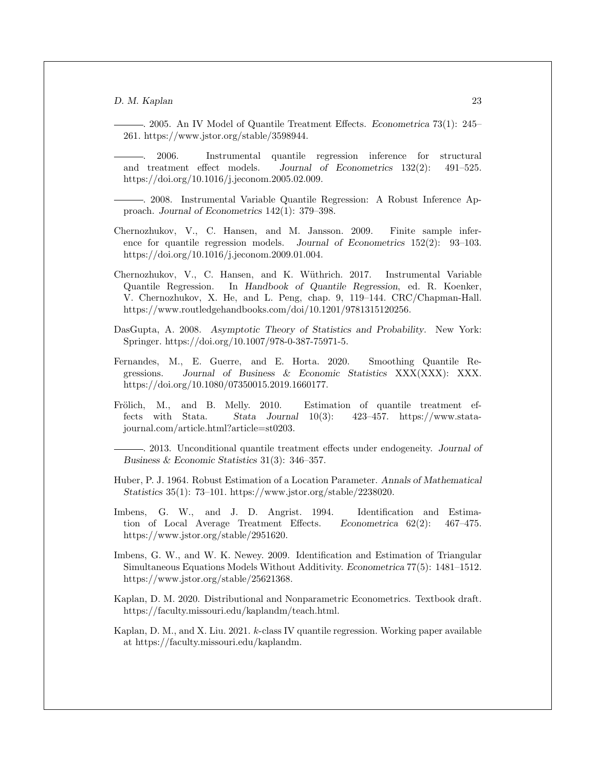<span id="page-22-0"></span>. 2005. An IV Model of Quantile Treatment Effects. Econometrica 73(1): 245– 261. https://www.jstor.org/stable/3598944.

<span id="page-22-1"></span>. 2006. Instrumental quantile regression inference for structural and treatment effect models. Journal of Econometrics 132(2): 491–525. https://doi.org/10.1016/j.jeconom.2005.02.009.

<span id="page-22-6"></span>. 2008. Instrumental Variable Quantile Regression: A Robust Inference Approach. Journal of Econometrics 142(1): 379–398.

- <span id="page-22-7"></span>Chernozhukov, V., C. Hansen, and M. Jansson. 2009. Finite sample inference for quantile regression models. Journal of Econometrics 152(2): 93–103. https://doi.org/10.1016/j.jeconom.2009.01.004.
- <span id="page-22-5"></span>Chernozhukov, V., C. Hansen, and K. Wüthrich. 2017. Instrumental Variable Quantile Regression. In Handbook of Quantile Regression, ed. R. Koenker, V. Chernozhukov, X. He, and L. Peng, chap. 9, 119–144. CRC/Chapman-Hall. https://www.routledgehandbooks.com/doi/10.1201/9781315120256.
- <span id="page-22-13"></span>DasGupta, A. 2008. Asymptotic Theory of Statistics and Probability. New York: Springer. https://doi.org/10.1007/978-0-387-75971-5.
- <span id="page-22-12"></span>Fernandes, M., E. Guerre, and E. Horta. 2020. Smoothing Quantile Regressions. Journal of Business & Economic Statistics XXX(XXX): XXX. https://doi.org/10.1080/07350015.2019.1660177.
- <span id="page-22-2"></span>Frölich, M., and B. Melly. 2010. Estimation of quantile treatment effects with Stata. Stata Journal 10(3): 423–457. https://www.statajournal.com/article.html?article=st0203.
	- . 2013. Unconditional quantile treatment effects under endogeneity. Journal of Business & Economic Statistics 31(3): 346–357.
- <span id="page-22-10"></span><span id="page-22-4"></span>Huber, P. J. 1964. Robust Estimation of a Location Parameter. Annals of Mathematical Statistics 35(1): 73–101. https://www.jstor.org/stable/2238020.
- <span id="page-22-3"></span>Imbens, G. W., and J. D. Angrist. 1994. Identification and Estimation of Local Average Treatment Effects. Econometrica 62(2): 467–475. https://www.jstor.org/stable/2951620.
- <span id="page-22-9"></span>Imbens, G. W., and W. K. Newey. 2009. Identification and Estimation of Triangular Simultaneous Equations Models Without Additivity. Econometrica 77(5): 1481–1512. https://www.jstor.org/stable/25621368.
- <span id="page-22-11"></span>Kaplan, D. M. 2020. Distributional and Nonparametric Econometrics. Textbook draft. https://faculty.missouri.edu/kaplandm/teach.html.
- <span id="page-22-8"></span>Kaplan, D. M., and X. Liu. 2021. k-class IV quantile regression. Working paper available at https://faculty.missouri.edu/kaplandm.